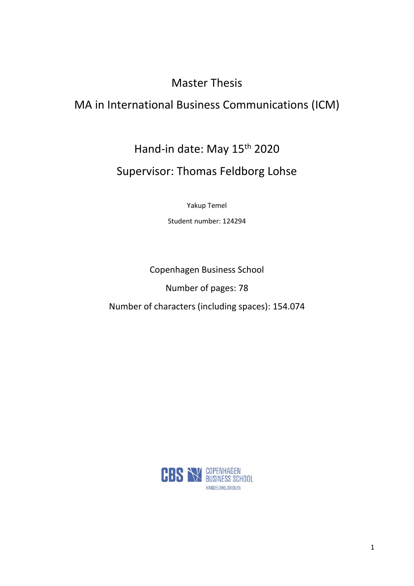# Master Thesis

# MA in International Business Communications (ICM)

Hand-in date: May 15<sup>th</sup> 2020

# Supervisor: Thomas Feldborg Lohse

Yakup Temel

Student number: 124294

Copenhagen Business School Number of pages: 78 Number of characters (including spaces): 154.074

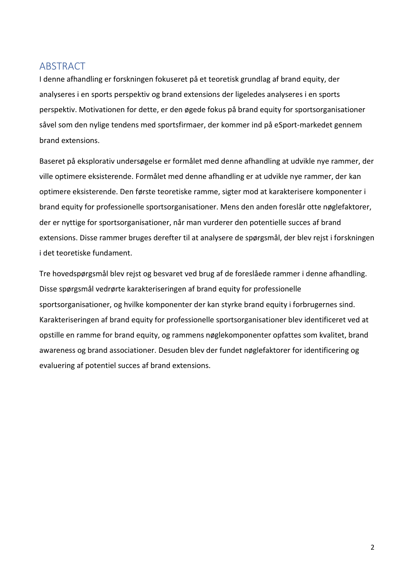# <span id="page-1-0"></span>ABSTRACT

I denne afhandling er forskningen fokuseret på et teoretisk grundlag af brand equity, der analyseres i en sports perspektiv og brand extensions der ligeledes analyseres i en sports perspektiv. Motivationen for dette, er den øgede fokus på brand equity for sportsorganisationer såvel som den nylige tendens med sportsfirmaer, der kommer ind på eSport-markedet gennem brand extensions.

Baseret på eksplorativ undersøgelse er formålet med denne afhandling at udvikle nye rammer, der ville optimere eksisterende. Formålet med denne afhandling er at udvikle nye rammer, der kan optimere eksisterende. Den første teoretiske ramme, sigter mod at karakterisere komponenter i brand equity for professionelle sportsorganisationer. Mens den anden foreslår otte nøglefaktorer, der er nyttige for sportsorganisationer, når man vurderer den potentielle succes af brand extensions. Disse rammer bruges derefter til at analysere de spørgsmål, der blev rejst i forskningen i det teoretiske fundament.

Tre hovedspørgsmål blev rejst og besvaret ved brug af de foreslåede rammer i denne afhandling. Disse spørgsmål vedrørte karakteriseringen af brand equity for professionelle sportsorganisationer, og hvilke komponenter der kan styrke brand equity i forbrugernes sind. Karakteriseringen af brand equity for professionelle sportsorganisationer blev identificeret ved at opstille en ramme for brand equity, og rammens nøglekomponenter opfattes som kvalitet, brand awareness og brand associationer. Desuden blev der fundet nøglefaktorer for identificering og evaluering af potentiel succes af brand extensions.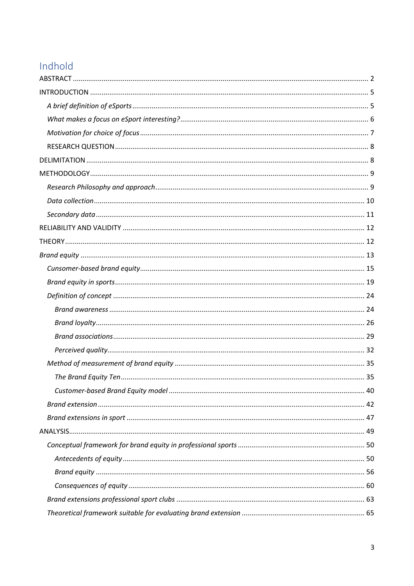# Indhold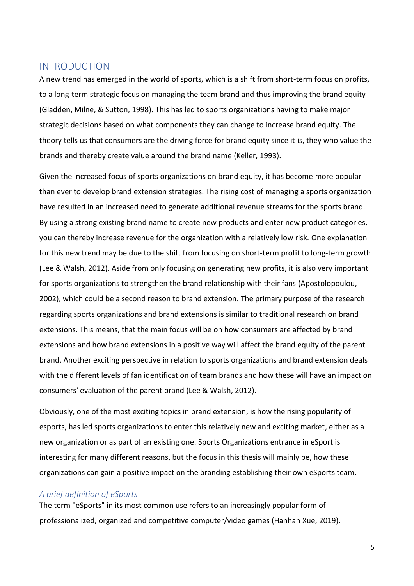# <span id="page-4-0"></span>INTRODUCTION

A new trend has emerged in the world of sports, which is a shift from short-term focus on profits, to a long-term strategic focus on managing the team brand and thus improving the brand equity (Gladden, Milne, & Sutton, 1998). This has led to sports organizations having to make major strategic decisions based on what components they can change to increase brand equity. The theory tells us that consumers are the driving force for brand equity since it is, they who value the brands and thereby create value around the brand name (Keller, 1993).

Given the increased focus of sports organizations on brand equity, it has become more popular than ever to develop brand extension strategies. The rising cost of managing a sports organization have resulted in an increased need to generate additional revenue streams for the sports brand. By using a strong existing brand name to create new products and enter new product categories, you can thereby increase revenue for the organization with a relatively low risk. One explanation for this new trend may be due to the shift from focusing on short-term profit to long-term growth (Lee & Walsh, 2012). Aside from only focusing on generating new profits, it is also very important for sports organizations to strengthen the brand relationship with their fans (Apostolopoulou, 2002), which could be a second reason to brand extension. The primary purpose of the research regarding sports organizations and brand extensions is similar to traditional research on brand extensions. This means, that the main focus will be on how consumers are affected by brand extensions and how brand extensions in a positive way will affect the brand equity of the parent brand. Another exciting perspective in relation to sports organizations and brand extension deals with the different levels of fan identification of team brands and how these will have an impact on consumers' evaluation of the parent brand (Lee & Walsh, 2012).

Obviously, one of the most exciting topics in brand extension, is how the rising popularity of esports, has led sports organizations to enter this relatively new and exciting market, either as a new organization or as part of an existing one. Sports Organizations entrance in eSport is interesting for many different reasons, but the focus in this thesis will mainly be, how these organizations can gain a positive impact on the branding establishing their own eSports team.

## <span id="page-4-1"></span>*A brief definition of eSports*

The term "eSports" in its most common use refers to an increasingly popular form of professionalized, organized and competitive computer/video games (Hanhan Xue, 2019).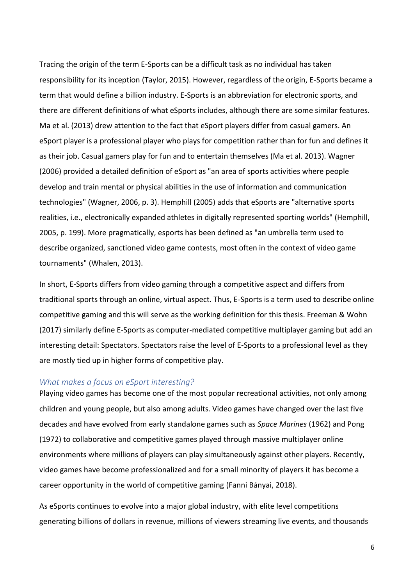Tracing the origin of the term E-Sports can be a difficult task as no individual has taken responsibility for its inception (Taylor, 2015). However, regardless of the origin, E-Sports became a term that would define a billion industry. E-Sports is an abbreviation for electronic sports, and there are different definitions of what eSports includes, although there are some similar features. Ma et al. (2013) drew attention to the fact that eSport players differ from casual gamers. An eSport player is a professional player who plays for competition rather than for fun and defines it as their job. Casual gamers play for fun and to entertain themselves (Ma et al. 2013). Wagner (2006) provided a detailed definition of eSport as "an area of sports activities where people develop and train mental or physical abilities in the use of information and communication technologies" (Wagner, 2006, p. 3). Hemphill (2005) adds that eSports are "alternative sports realities, i.e., electronically expanded athletes in digitally represented sporting worlds" (Hemphill, 2005, p. 199). More pragmatically, esports has been defined as "an umbrella term used to describe organized, sanctioned video game contests, most often in the context of video game tournaments" (Whalen, 2013).

In short, E-Sports differs from video gaming through a competitive aspect and differs from traditional sports through an online, virtual aspect. Thus, E-Sports is a term used to describe online competitive gaming and this will serve as the working definition for this thesis. Freeman & Wohn (2017) similarly define E-Sports as computer-mediated competitive multiplayer gaming but add an interesting detail: Spectators. Spectators raise the level of E-Sports to a professional level as they are mostly tied up in higher forms of competitive play.

### <span id="page-5-0"></span>*What makes a focus on eSport interesting?*

Playing video games has become one of the most popular recreational activities, not only among children and young people, but also among adults. Video games have changed over the last five decades and have evolved from early standalone games such as *Space Marines* (1962) and Pong (1972) to collaborative and competitive games played through massive multiplayer online environments where millions of players can play simultaneously against other players. Recently, video games have become professionalized and for a small minority of players it has become a career opportunity in the world of competitive gaming (Fanni Bányai, 2018).

As eSports continues to evolve into a major global industry, with elite level competitions generating billions of dollars in revenue, millions of viewers streaming live events, and thousands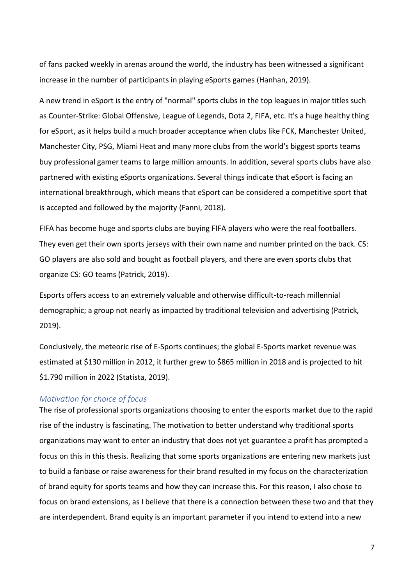of fans packed weekly in arenas around the world, the industry has been witnessed a significant increase in the number of participants in playing eSports games (Hanhan, 2019).

A new trend in eSport is the entry of "normal" sports clubs in the top leagues in major titles such as Counter-Strike: Global Offensive, League of Legends, Dota 2, FIFA, etc. It's a huge healthy thing for eSport, as it helps build a much broader acceptance when clubs like FCK, Manchester United, Manchester City, PSG, Miami Heat and many more clubs from the world's biggest sports teams buy professional gamer teams to large million amounts. In addition, several sports clubs have also partnered with existing eSports organizations. Several things indicate that eSport is facing an international breakthrough, which means that eSport can be considered a competitive sport that is accepted and followed by the majority (Fanni, 2018).

FIFA has become huge and sports clubs are buying FIFA players who were the real footballers. They even get their own sports jerseys with their own name and number printed on the back. CS: GO players are also sold and bought as football players, and there are even sports clubs that organize CS: GO teams (Patrick, 2019).

Esports offers access to an extremely valuable and otherwise difficult-to-reach millennial demographic; a group not nearly as impacted by traditional television and advertising (Patrick, 2019).

Conclusively, the meteoric rise of E-Sports continues; the global E-Sports market revenue was estimated at \$130 million in 2012, it further grew to \$865 million in 2018 and is projected to hit \$1.790 million in 2022 (Statista, 2019).

## <span id="page-6-0"></span>*Motivation for choice of focus*

The rise of professional sports organizations choosing to enter the esports market due to the rapid rise of the industry is fascinating. The motivation to better understand why traditional sports organizations may want to enter an industry that does not yet guarantee a profit has prompted a focus on this in this thesis. Realizing that some sports organizations are entering new markets just to build a fanbase or raise awareness for their brand resulted in my focus on the characterization of brand equity for sports teams and how they can increase this. For this reason, I also chose to focus on brand extensions, as I believe that there is a connection between these two and that they are interdependent. Brand equity is an important parameter if you intend to extend into a new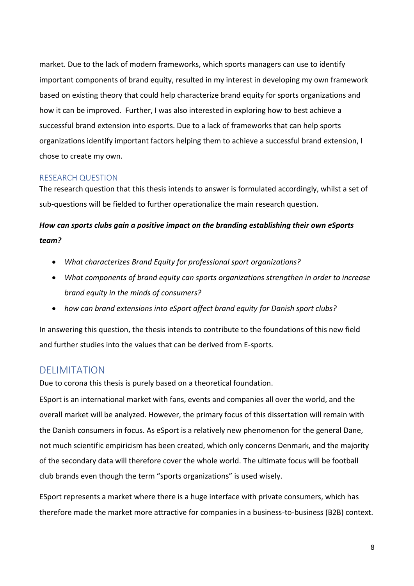market. Due to the lack of modern frameworks, which sports managers can use to identify important components of brand equity, resulted in my interest in developing my own framework based on existing theory that could help characterize brand equity for sports organizations and how it can be improved. Further, I was also interested in exploring how to best achieve a successful brand extension into esports. Due to a lack of frameworks that can help sports organizations identify important factors helping them to achieve a successful brand extension, I chose to create my own.

# <span id="page-7-0"></span>RESEARCH QUESTION

The research question that this thesis intends to answer is formulated accordingly, whilst a set of sub-questions will be fielded to further operationalize the main research question.

# *How can sports clubs gain a positive impact on the branding establishing their own eSports team?*

- *What characterizes Brand Equity for professional sport organizations?*
- *What components of brand equity can sports organizations strengthen in order to increase brand equity in the minds of consumers?*
- *how can brand extensions into eSport affect brand equity for Danish sport clubs?*

In answering this question, the thesis intends to contribute to the foundations of this new field and further studies into the values that can be derived from E-sports.

# <span id="page-7-1"></span>**DELIMITATION**

Due to corona this thesis is purely based on a theoretical foundation.

ESport is an international market with fans, events and companies all over the world, and the overall market will be analyzed. However, the primary focus of this dissertation will remain with the Danish consumers in focus. As eSport is a relatively new phenomenon for the general Dane, not much scientific empiricism has been created, which only concerns Denmark, and the majority of the secondary data will therefore cover the whole world. The ultimate focus will be football club brands even though the term "sports organizations" is used wisely.

ESport represents a market where there is a huge interface with private consumers, which has therefore made the market more attractive for companies in a business-to-business (B2B) context.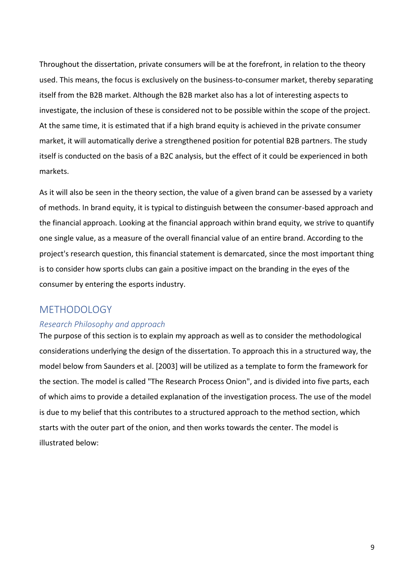Throughout the dissertation, private consumers will be at the forefront, in relation to the theory used. This means, the focus is exclusively on the business-to-consumer market, thereby separating itself from the B2B market. Although the B2B market also has a lot of interesting aspects to investigate, the inclusion of these is considered not to be possible within the scope of the project. At the same time, it is estimated that if a high brand equity is achieved in the private consumer market, it will automatically derive a strengthened position for potential B2B partners. The study itself is conducted on the basis of a B2C analysis, but the effect of it could be experienced in both markets.

As it will also be seen in the theory section, the value of a given brand can be assessed by a variety of methods. In brand equity, it is typical to distinguish between the consumer-based approach and the financial approach. Looking at the financial approach within brand equity, we strive to quantify one single value, as a measure of the overall financial value of an entire brand. According to the project's research question, this financial statement is demarcated, since the most important thing is to consider how sports clubs can gain a positive impact on the branding in the eyes of the consumer by entering the esports industry.

# <span id="page-8-0"></span>METHODOLOGY

# <span id="page-8-1"></span>*Research Philosophy and approach*

The purpose of this section is to explain my approach as well as to consider the methodological considerations underlying the design of the dissertation. To approach this in a structured way, the model below from Saunders et al. [2003] will be utilized as a template to form the framework for the section. The model is called "The Research Process Onion", and is divided into five parts, each of which aims to provide a detailed explanation of the investigation process. The use of the model is due to my belief that this contributes to a structured approach to the method section, which starts with the outer part of the onion, and then works towards the center. The model is illustrated below: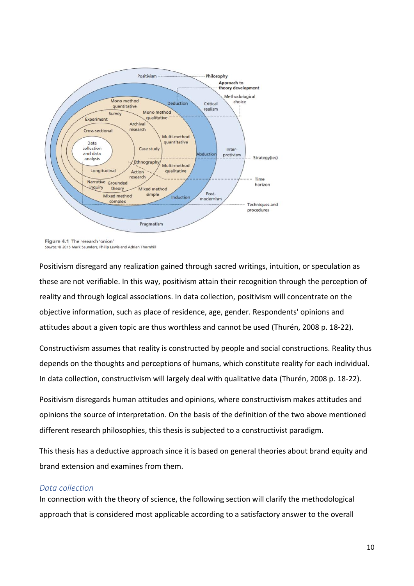

Figure 4.1 The research 'onion' Source: @ 2015 Mark Saunders, Philip Lewis and Adrian Thornhill

Positivism disregard any realization gained through sacred writings, intuition, or speculation as these are not verifiable. In this way, positivism attain their recognition through the perception of reality and through logical associations. In data collection, positivism will concentrate on the objective information, such as place of residence, age, gender. Respondents' opinions and attitudes about a given topic are thus worthless and cannot be used (Thurén, 2008 p. 18-22).

Constructivism assumes that reality is constructed by people and social constructions. Reality thus depends on the thoughts and perceptions of humans, which constitute reality for each individual. In data collection, constructivism will largely deal with qualitative data (Thurén, 2008 p. 18-22).

Positivism disregards human attitudes and opinions, where constructivism makes attitudes and opinions the source of interpretation. On the basis of the definition of the two above mentioned different research philosophies, this thesis is subjected to a constructivist paradigm.

This thesis has a deductive approach since it is based on general theories about brand equity and brand extension and examines from them.

# <span id="page-9-0"></span>*Data collection*

In connection with the theory of science, the following section will clarify the methodological approach that is considered most applicable according to a satisfactory answer to the overall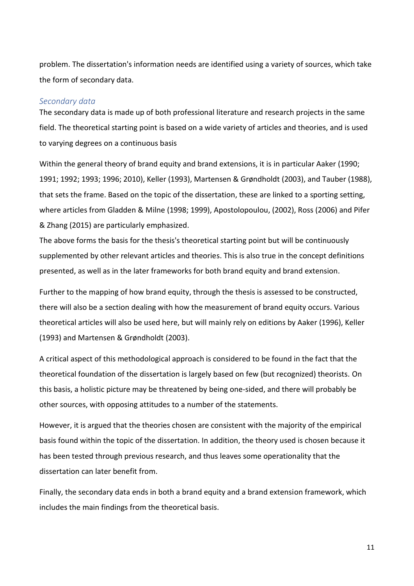problem. The dissertation's information needs are identified using a variety of sources, which take the form of secondary data.

### <span id="page-10-0"></span>*Secondary data*

The secondary data is made up of both professional literature and research projects in the same field. The theoretical starting point is based on a wide variety of articles and theories, and is used to varying degrees on a continuous basis

Within the general theory of brand equity and brand extensions, it is in particular Aaker (1990; 1991; 1992; 1993; 1996; 2010), Keller (1993), Martensen & Grøndholdt (2003), and Tauber (1988), that sets the frame. Based on the topic of the dissertation, these are linked to a sporting setting, where articles from Gladden & Milne (1998; 1999), Apostolopoulou, (2002), Ross (2006) and Pifer & Zhang (2015) are particularly emphasized.

The above forms the basis for the thesis's theoretical starting point but will be continuously supplemented by other relevant articles and theories. This is also true in the concept definitions presented, as well as in the later frameworks for both brand equity and brand extension.

Further to the mapping of how brand equity, through the thesis is assessed to be constructed, there will also be a section dealing with how the measurement of brand equity occurs. Various theoretical articles will also be used here, but will mainly rely on editions by Aaker (1996), Keller (1993) and Martensen & Grøndholdt (2003).

A critical aspect of this methodological approach is considered to be found in the fact that the theoretical foundation of the dissertation is largely based on few (but recognized) theorists. On this basis, a holistic picture may be threatened by being one-sided, and there will probably be other sources, with opposing attitudes to a number of the statements.

However, it is argued that the theories chosen are consistent with the majority of the empirical basis found within the topic of the dissertation. In addition, the theory used is chosen because it has been tested through previous research, and thus leaves some operationality that the dissertation can later benefit from.

Finally, the secondary data ends in both a brand equity and a brand extension framework, which includes the main findings from the theoretical basis.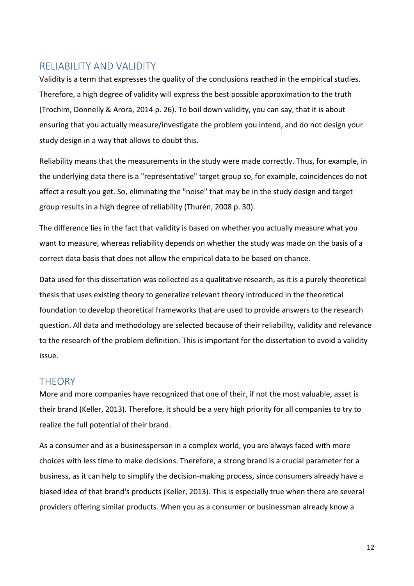# <span id="page-11-0"></span>RELIABILITY AND VALIDITY

Validity is a term that expresses the quality of the conclusions reached in the empirical studies. Therefore, a high degree of validity will express the best possible approximation to the truth (Trochim, Donnelly & Arora, 2014 p. 26). To boil down validity, you can say, that it is about ensuring that you actually measure/investigate the problem you intend, and do not design your study design in a way that allows to doubt this.

Reliability means that the measurements in the study were made correctly. Thus, for example, in the underlying data there is a "representative" target group so, for example, coincidences do not affect a result you get. So, eliminating the "noise" that may be in the study design and target group results in a high degree of reliability (Thurén, 2008 p. 30).

The difference lies in the fact that validity is based on whether you actually measure what you want to measure, whereas reliability depends on whether the study was made on the basis of a correct data basis that does not allow the empirical data to be based on chance.

Data used for this dissertation was collected as a qualitative research, as it is a purely theoretical thesis that uses existing theory to generalize relevant theory introduced in the theoretical foundation to develop theoretical frameworks that are used to provide answers to the research question. All data and methodology are selected because of their reliability, validity and relevance to the research of the problem definition. This is important for the dissertation to avoid a validity issue.

# <span id="page-11-1"></span>**THEORY**

More and more companies have recognized that one of their, if not the most valuable, asset is their brand (Keller, 2013). Therefore, it should be a very high priority for all companies to try to realize the full potential of their brand.

As a consumer and as a businessperson in a complex world, you are always faced with more choices with less time to make decisions. Therefore, a strong brand is a crucial parameter for a business, as it can help to simplify the decision-making process, since consumers already have a biased idea of that brand's products (Keller, 2013). This is especially true when there are several providers offering similar products. When you as a consumer or businessman already know a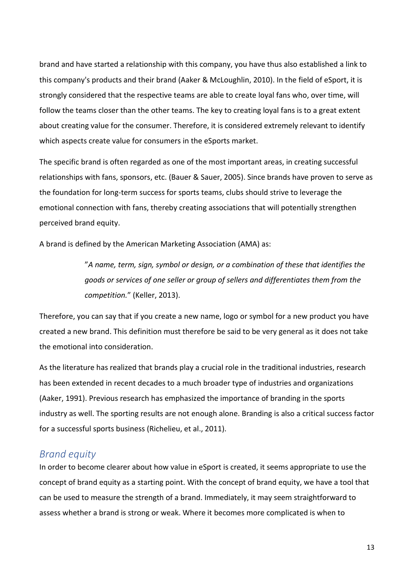brand and have started a relationship with this company, you have thus also established a link to this company's products and their brand (Aaker & McLoughlin, 2010). In the field of eSport, it is strongly considered that the respective teams are able to create loyal fans who, over time, will follow the teams closer than the other teams. The key to creating loyal fans is to a great extent about creating value for the consumer. Therefore, it is considered extremely relevant to identify which aspects create value for consumers in the eSports market.

The specific brand is often regarded as one of the most important areas, in creating successful relationships with fans, sponsors, etc. (Bauer & Sauer, 2005). Since brands have proven to serve as the foundation for long-term success for sports teams, clubs should strive to leverage the emotional connection with fans, thereby creating associations that will potentially strengthen perceived brand equity.

A brand is defined by the American Marketing Association (AMA) as:

"*A name, term, sign, symbol or design, or a combination of these that identifies the goods or services of one seller or group of sellers and differentiates them from the competition.*" (Keller, 2013).

Therefore, you can say that if you create a new name, logo or symbol for a new product you have created a new brand. This definition must therefore be said to be very general as it does not take the emotional into consideration.

As the literature has realized that brands play a crucial role in the traditional industries, research has been extended in recent decades to a much broader type of industries and organizations (Aaker, 1991). Previous research has emphasized the importance of branding in the sports industry as well. The sporting results are not enough alone. Branding is also a critical success factor for a successful sports business (Richelieu, et al., 2011).

# <span id="page-12-0"></span>*Brand equity*

In order to become clearer about how value in eSport is created, it seems appropriate to use the concept of brand equity as a starting point. With the concept of brand equity, we have a tool that can be used to measure the strength of a brand. Immediately, it may seem straightforward to assess whether a brand is strong or weak. Where it becomes more complicated is when to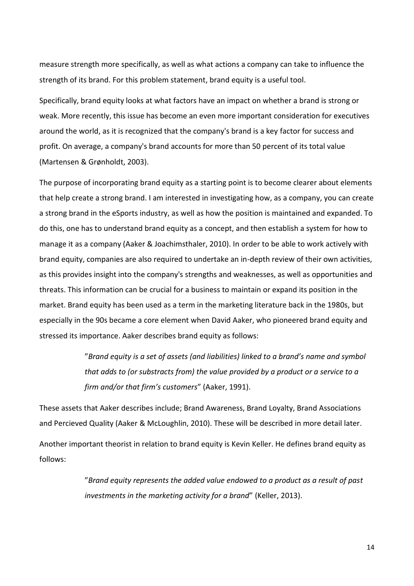measure strength more specifically, as well as what actions a company can take to influence the strength of its brand. For this problem statement, brand equity is a useful tool.

Specifically, brand equity looks at what factors have an impact on whether a brand is strong or weak. More recently, this issue has become an even more important consideration for executives around the world, as it is recognized that the company's brand is a key factor for success and profit. On average, a company's brand accounts for more than 50 percent of its total value (Martensen & Grønholdt, 2003).

The purpose of incorporating brand equity as a starting point is to become clearer about elements that help create a strong brand. I am interested in investigating how, as a company, you can create a strong brand in the eSports industry, as well as how the position is maintained and expanded. To do this, one has to understand brand equity as a concept, and then establish a system for how to manage it as a company (Aaker & Joachimsthaler, 2010). In order to be able to work actively with brand equity, companies are also required to undertake an in-depth review of their own activities, as this provides insight into the company's strengths and weaknesses, as well as opportunities and threats. This information can be crucial for a business to maintain or expand its position in the market. Brand equity has been used as a term in the marketing literature back in the 1980s, but especially in the 90s became a core element when David Aaker, who pioneered brand equity and stressed its importance. Aaker describes brand equity as follows:

> "*Brand equity is a set of assets (and liabilities) linked to a brand's name and symbol that adds to (or substracts from) the value provided by a product or a service to a firm and/or that firm's customers*" (Aaker, 1991).

These assets that Aaker describes include; Brand Awareness, Brand Loyalty, Brand Associations and Percieved Quality (Aaker & McLoughlin, 2010). These will be described in more detail later.

Another important theorist in relation to brand equity is Kevin Keller. He defines brand equity as follows:

> "*Brand equity represents the added value endowed to a product as a result of past investments in the marketing activity for a brand*" (Keller, 2013).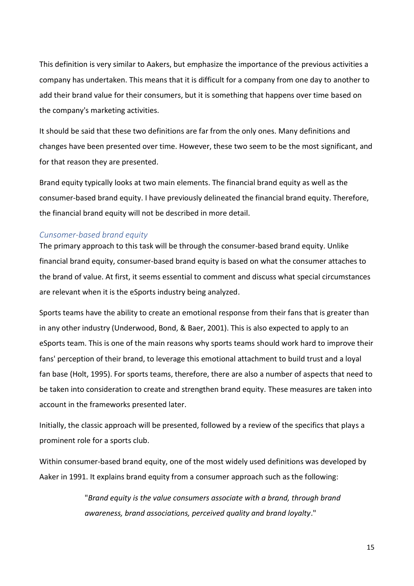This definition is very similar to Aakers, but emphasize the importance of the previous activities a company has undertaken. This means that it is difficult for a company from one day to another to add their brand value for their consumers, but it is something that happens over time based on the company's marketing activities.

It should be said that these two definitions are far from the only ones. Many definitions and changes have been presented over time. However, these two seem to be the most significant, and for that reason they are presented.

Brand equity typically looks at two main elements. The financial brand equity as well as the consumer-based brand equity. I have previously delineated the financial brand equity. Therefore, the financial brand equity will not be described in more detail.

## <span id="page-14-0"></span>*Cunsomer-based brand equity*

The primary approach to this task will be through the consumer-based brand equity. Unlike financial brand equity, consumer-based brand equity is based on what the consumer attaches to the brand of value. At first, it seems essential to comment and discuss what special circumstances are relevant when it is the eSports industry being analyzed.

Sports teams have the ability to create an emotional response from their fans that is greater than in any other industry (Underwood, Bond, & Baer, 2001). This is also expected to apply to an eSports team. This is one of the main reasons why sports teams should work hard to improve their fans' perception of their brand, to leverage this emotional attachment to build trust and a loyal fan base (Holt, 1995). For sports teams, therefore, there are also a number of aspects that need to be taken into consideration to create and strengthen brand equity. These measures are taken into account in the frameworks presented later.

Initially, the classic approach will be presented, followed by a review of the specifics that plays a prominent role for a sports club.

Within consumer-based brand equity, one of the most widely used definitions was developed by Aaker in 1991. It explains brand equity from a consumer approach such as the following:

> "*Brand equity is the value consumers associate with a brand, through brand awareness, brand associations, perceived quality and brand loyalty*."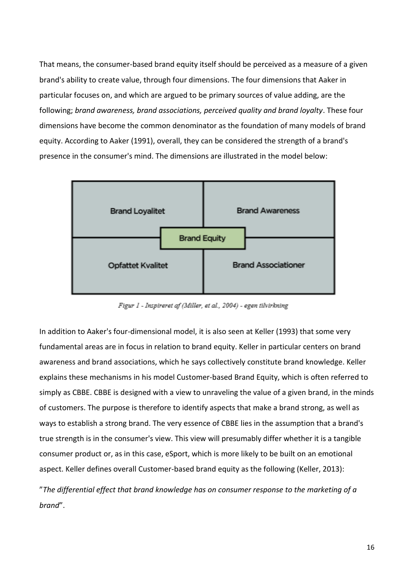That means, the consumer-based brand equity itself should be perceived as a measure of a given brand's ability to create value, through four dimensions. The four dimensions that Aaker in particular focuses on, and which are argued to be primary sources of value adding, are the following; *brand awareness, brand associations, perceived quality and brand loyalty*. These four dimensions have become the common denominator as the foundation of many models of brand equity. According to Aaker (1991), overall, they can be considered the strength of a brand's presence in the consumer's mind. The dimensions are illustrated in the model below:



Figur 1 - Inspireret af (Miller, et al., 2004) - egen tilvirkning

In addition to Aaker's four-dimensional model, it is also seen at Keller (1993) that some very fundamental areas are in focus in relation to brand equity. Keller in particular centers on brand awareness and brand associations, which he says collectively constitute brand knowledge. Keller explains these mechanisms in his model Customer-based Brand Equity, which is often referred to simply as CBBE. CBBE is designed with a view to unraveling the value of a given brand, in the minds of customers. The purpose is therefore to identify aspects that make a brand strong, as well as ways to establish a strong brand. The very essence of CBBE lies in the assumption that a brand's true strength is in the consumer's view. This view will presumably differ whether it is a tangible consumer product or, as in this case, eSport, which is more likely to be built on an emotional aspect. Keller defines overall Customer-based brand equity as the following (Keller, 2013):

"*The differential effect that brand knowledge has on consumer response to the marketing of a brand*".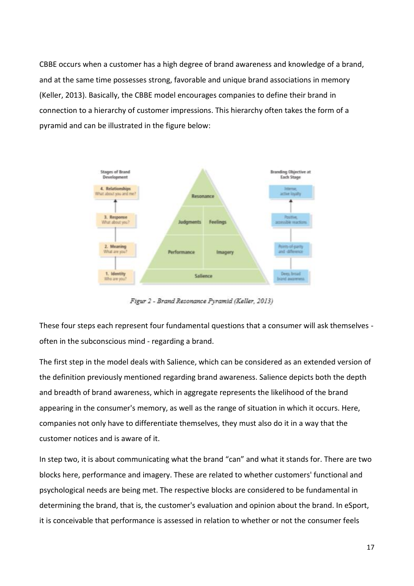CBBE occurs when a customer has a high degree of brand awareness and knowledge of a brand, and at the same time possesses strong, favorable and unique brand associations in memory (Keller, 2013). Basically, the CBBE model encourages companies to define their brand in connection to a hierarchy of customer impressions. This hierarchy often takes the form of a pyramid and can be illustrated in the figure below:



Figur 2 - Brand Resonance Pyramid (Keller, 2013)

These four steps each represent four fundamental questions that a consumer will ask themselves often in the subconscious mind - regarding a brand.

The first step in the model deals with Salience, which can be considered as an extended version of the definition previously mentioned regarding brand awareness. Salience depicts both the depth and breadth of brand awareness, which in aggregate represents the likelihood of the brand appearing in the consumer's memory, as well as the range of situation in which it occurs. Here, companies not only have to differentiate themselves, they must also do it in a way that the customer notices and is aware of it.

In step two, it is about communicating what the brand "can" and what it stands for. There are two blocks here, performance and imagery. These are related to whether customers' functional and psychological needs are being met. The respective blocks are considered to be fundamental in determining the brand, that is, the customer's evaluation and opinion about the brand. In eSport, it is conceivable that performance is assessed in relation to whether or not the consumer feels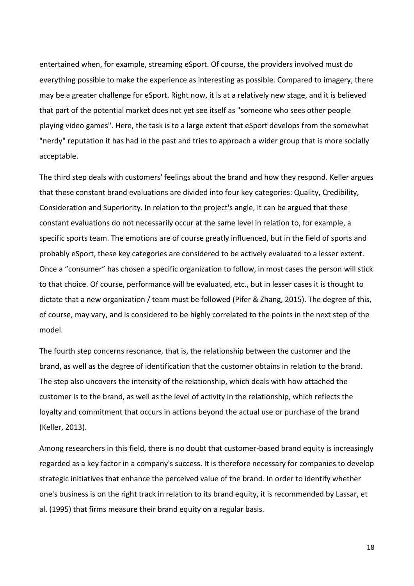entertained when, for example, streaming eSport. Of course, the providers involved must do everything possible to make the experience as interesting as possible. Compared to imagery, there may be a greater challenge for eSport. Right now, it is at a relatively new stage, and it is believed that part of the potential market does not yet see itself as "someone who sees other people playing video games". Here, the task is to a large extent that eSport develops from the somewhat "nerdy" reputation it has had in the past and tries to approach a wider group that is more socially acceptable.

The third step deals with customers' feelings about the brand and how they respond. Keller argues that these constant brand evaluations are divided into four key categories: Quality, Credibility, Consideration and Superiority. In relation to the project's angle, it can be argued that these constant evaluations do not necessarily occur at the same level in relation to, for example, a specific sports team. The emotions are of course greatly influenced, but in the field of sports and probably eSport, these key categories are considered to be actively evaluated to a lesser extent. Once a "consumer" has chosen a specific organization to follow, in most cases the person will stick to that choice. Of course, performance will be evaluated, etc., but in lesser cases it is thought to dictate that a new organization / team must be followed (Pifer & Zhang, 2015). The degree of this, of course, may vary, and is considered to be highly correlated to the points in the next step of the model.

The fourth step concerns resonance, that is, the relationship between the customer and the brand, as well as the degree of identification that the customer obtains in relation to the brand. The step also uncovers the intensity of the relationship, which deals with how attached the customer is to the brand, as well as the level of activity in the relationship, which reflects the loyalty and commitment that occurs in actions beyond the actual use or purchase of the brand (Keller, 2013).

Among researchers in this field, there is no doubt that customer-based brand equity is increasingly regarded as a key factor in a company's success. It is therefore necessary for companies to develop strategic initiatives that enhance the perceived value of the brand. In order to identify whether one's business is on the right track in relation to its brand equity, it is recommended by Lassar, et al. (1995) that firms measure their brand equity on a regular basis.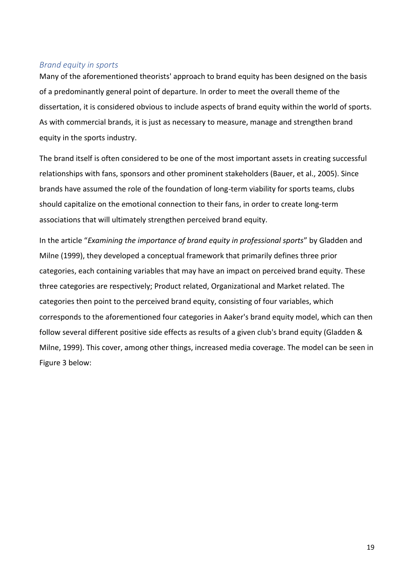## <span id="page-18-0"></span>*Brand equity in sports*

Many of the aforementioned theorists' approach to brand equity has been designed on the basis of a predominantly general point of departure. In order to meet the overall theme of the dissertation, it is considered obvious to include aspects of brand equity within the world of sports. As with commercial brands, it is just as necessary to measure, manage and strengthen brand equity in the sports industry.

The brand itself is often considered to be one of the most important assets in creating successful relationships with fans, sponsors and other prominent stakeholders (Bauer, et al., 2005). Since brands have assumed the role of the foundation of long-term viability for sports teams, clubs should capitalize on the emotional connection to their fans, in order to create long-term associations that will ultimately strengthen perceived brand equity.

In the article "*Examining the importance of brand equity in professional sports*" by Gladden and Milne (1999), they developed a conceptual framework that primarily defines three prior categories, each containing variables that may have an impact on perceived brand equity. These three categories are respectively; Product related, Organizational and Market related. The categories then point to the perceived brand equity, consisting of four variables, which corresponds to the aforementioned four categories in Aaker's brand equity model, which can then follow several different positive side effects as results of a given club's brand equity (Gladden & Milne, 1999). This cover, among other things, increased media coverage. The model can be seen in Figure 3 below: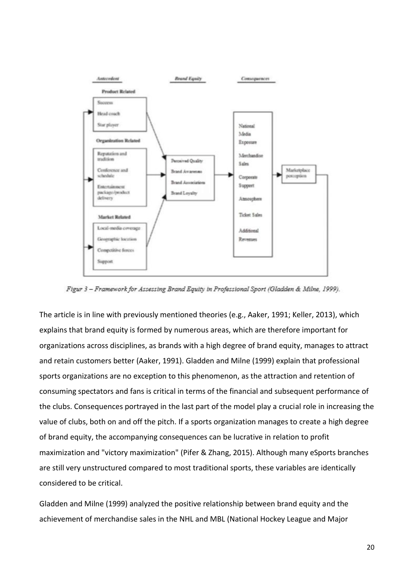

Figur 3 - Framework for Assessing Brand Equity in Professional Sport (Gladden & Milne, 1999).

The article is in line with previously mentioned theories (e.g., Aaker, 1991; Keller, 2013), which explains that brand equity is formed by numerous areas, which are therefore important for organizations across disciplines, as brands with a high degree of brand equity, manages to attract and retain customers better (Aaker, 1991). Gladden and Milne (1999) explain that professional sports organizations are no exception to this phenomenon, as the attraction and retention of consuming spectators and fans is critical in terms of the financial and subsequent performance of the clubs. Consequences portrayed in the last part of the model play a crucial role in increasing the value of clubs, both on and off the pitch. If a sports organization manages to create a high degree of brand equity, the accompanying consequences can be lucrative in relation to profit maximization and "victory maximization" (Pifer & Zhang, 2015). Although many eSports branches are still very unstructured compared to most traditional sports, these variables are identically considered to be critical.

Gladden and Milne (1999) analyzed the positive relationship between brand equity and the achievement of merchandise sales in the NHL and MBL (National Hockey League and Major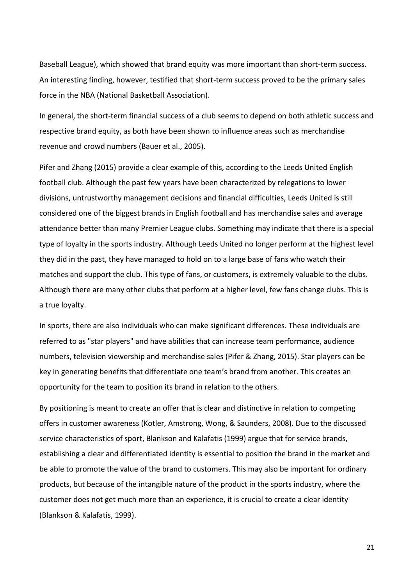Baseball League), which showed that brand equity was more important than short-term success. An interesting finding, however, testified that short-term success proved to be the primary sales force in the NBA (National Basketball Association).

In general, the short-term financial success of a club seems to depend on both athletic success and respective brand equity, as both have been shown to influence areas such as merchandise revenue and crowd numbers (Bauer et al., 2005).

Pifer and Zhang (2015) provide a clear example of this, according to the Leeds United English football club. Although the past few years have been characterized by relegations to lower divisions, untrustworthy management decisions and financial difficulties, Leeds United is still considered one of the biggest brands in English football and has merchandise sales and average attendance better than many Premier League clubs. Something may indicate that there is a special type of loyalty in the sports industry. Although Leeds United no longer perform at the highest level they did in the past, they have managed to hold on to a large base of fans who watch their matches and support the club. This type of fans, or customers, is extremely valuable to the clubs. Although there are many other clubs that perform at a higher level, few fans change clubs. This is a true loyalty.

In sports, there are also individuals who can make significant differences. These individuals are referred to as "star players" and have abilities that can increase team performance, audience numbers, television viewership and merchandise sales (Pifer & Zhang, 2015). Star players can be key in generating benefits that differentiate one team's brand from another. This creates an opportunity for the team to position its brand in relation to the others.

By positioning is meant to create an offer that is clear and distinctive in relation to competing offers in customer awareness (Kotler, Amstrong, Wong, & Saunders, 2008). Due to the discussed service characteristics of sport, Blankson and Kalafatis (1999) argue that for service brands, establishing a clear and differentiated identity is essential to position the brand in the market and be able to promote the value of the brand to customers. This may also be important for ordinary products, but because of the intangible nature of the product in the sports industry, where the customer does not get much more than an experience, it is crucial to create a clear identity (Blankson & Kalafatis, 1999).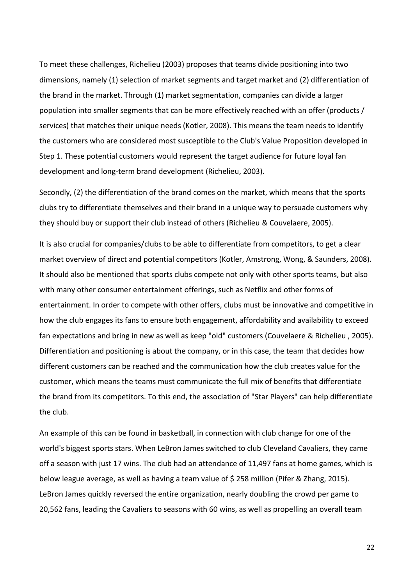To meet these challenges, Richelieu (2003) proposes that teams divide positioning into two dimensions, namely (1) selection of market segments and target market and (2) differentiation of the brand in the market. Through (1) market segmentation, companies can divide a larger population into smaller segments that can be more effectively reached with an offer (products / services) that matches their unique needs (Kotler, 2008). This means the team needs to identify the customers who are considered most susceptible to the Club's Value Proposition developed in Step 1. These potential customers would represent the target audience for future loyal fan development and long-term brand development (Richelieu, 2003).

Secondly, (2) the differentiation of the brand comes on the market, which means that the sports clubs try to differentiate themselves and their brand in a unique way to persuade customers why they should buy or support their club instead of others (Richelieu & Couvelaere, 2005).

It is also crucial for companies/clubs to be able to differentiate from competitors, to get a clear market overview of direct and potential competitors (Kotler, Amstrong, Wong, & Saunders, 2008). It should also be mentioned that sports clubs compete not only with other sports teams, but also with many other consumer entertainment offerings, such as Netflix and other forms of entertainment. In order to compete with other offers, clubs must be innovative and competitive in how the club engages its fans to ensure both engagement, affordability and availability to exceed fan expectations and bring in new as well as keep "old" customers (Couvelaere & Richelieu , 2005). Differentiation and positioning is about the company, or in this case, the team that decides how different customers can be reached and the communication how the club creates value for the customer, which means the teams must communicate the full mix of benefits that differentiate the brand from its competitors. To this end, the association of "Star Players" can help differentiate the club.

An example of this can be found in basketball, in connection with club change for one of the world's biggest sports stars. When LeBron James switched to club Cleveland Cavaliers, they came off a season with just 17 wins. The club had an attendance of 11,497 fans at home games, which is below league average, as well as having a team value of \$ 258 million (Pifer & Zhang, 2015). LeBron James quickly reversed the entire organization, nearly doubling the crowd per game to 20,562 fans, leading the Cavaliers to seasons with 60 wins, as well as propelling an overall team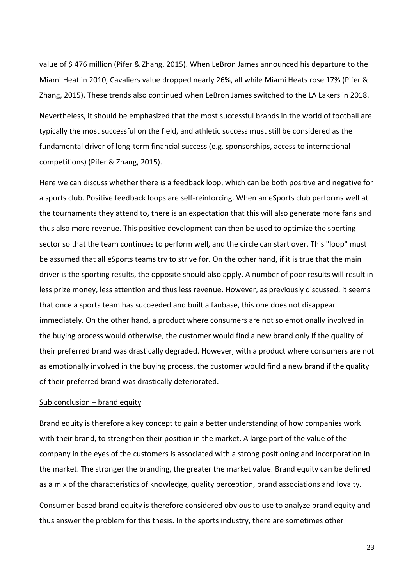value of \$ 476 million (Pifer & Zhang, 2015). When LeBron James announced his departure to the Miami Heat in 2010, Cavaliers value dropped nearly 26%, all while Miami Heats rose 17% (Pifer & Zhang, 2015). These trends also continued when LeBron James switched to the LA Lakers in 2018.

Nevertheless, it should be emphasized that the most successful brands in the world of football are typically the most successful on the field, and athletic success must still be considered as the fundamental driver of long-term financial success (e.g. sponsorships, access to international competitions) (Pifer & Zhang, 2015).

Here we can discuss whether there is a feedback loop, which can be both positive and negative for a sports club. Positive feedback loops are self-reinforcing. When an eSports club performs well at the tournaments they attend to, there is an expectation that this will also generate more fans and thus also more revenue. This positive development can then be used to optimize the sporting sector so that the team continues to perform well, and the circle can start over. This "loop" must be assumed that all eSports teams try to strive for. On the other hand, if it is true that the main driver is the sporting results, the opposite should also apply. A number of poor results will result in less prize money, less attention and thus less revenue. However, as previously discussed, it seems that once a sports team has succeeded and built a fanbase, this one does not disappear immediately. On the other hand, a product where consumers are not so emotionally involved in the buying process would otherwise, the customer would find a new brand only if the quality of their preferred brand was drastically degraded. However, with a product where consumers are not as emotionally involved in the buying process, the customer would find a new brand if the quality of their preferred brand was drastically deteriorated.

#### Sub conclusion – brand equity

Brand equity is therefore a key concept to gain a better understanding of how companies work with their brand, to strengthen their position in the market. A large part of the value of the company in the eyes of the customers is associated with a strong positioning and incorporation in the market. The stronger the branding, the greater the market value. Brand equity can be defined as a mix of the characteristics of knowledge, quality perception, brand associations and loyalty.

Consumer-based brand equity is therefore considered obvious to use to analyze brand equity and thus answer the problem for this thesis. In the sports industry, there are sometimes other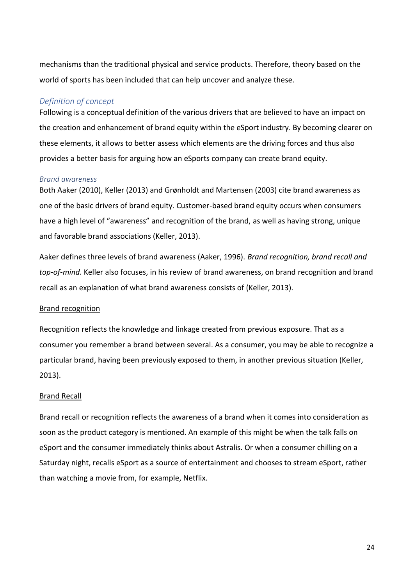mechanisms than the traditional physical and service products. Therefore, theory based on the world of sports has been included that can help uncover and analyze these.

## <span id="page-23-0"></span>*Definition of concept*

Following is a conceptual definition of the various drivers that are believed to have an impact on the creation and enhancement of brand equity within the eSport industry. By becoming clearer on these elements, it allows to better assess which elements are the driving forces and thus also provides a better basis for arguing how an eSports company can create brand equity.

### <span id="page-23-1"></span>*Brand awareness*

Both Aaker (2010), Keller (2013) and Grønholdt and Martensen (2003) cite brand awareness as one of the basic drivers of brand equity. Customer-based brand equity occurs when consumers have a high level of "awareness" and recognition of the brand, as well as having strong, unique and favorable brand associations (Keller, 2013).

Aaker defines three levels of brand awareness (Aaker, 1996). *Brand recognition, brand recall and top-of-mind*. Keller also focuses, in his review of brand awareness, on brand recognition and brand recall as an explanation of what brand awareness consists of (Keller, 2013).

#### Brand recognition

Recognition reflects the knowledge and linkage created from previous exposure. That as a consumer you remember a brand between several. As a consumer, you may be able to recognize a particular brand, having been previously exposed to them, in another previous situation (Keller, 2013).

### Brand Recall

Brand recall or recognition reflects the awareness of a brand when it comes into consideration as soon as the product category is mentioned. An example of this might be when the talk falls on eSport and the consumer immediately thinks about Astralis. Or when a consumer chilling on a Saturday night, recalls eSport as a source of entertainment and chooses to stream eSport, rather than watching a movie from, for example, Netflix.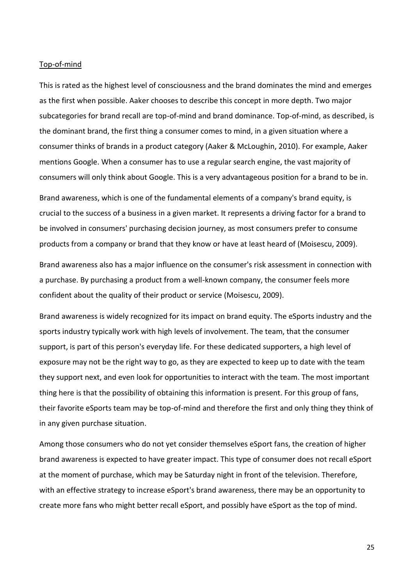#### Top-of-mind

This is rated as the highest level of consciousness and the brand dominates the mind and emerges as the first when possible. Aaker chooses to describe this concept in more depth. Two major subcategories for brand recall are top-of-mind and brand dominance. Top-of-mind, as described, is the dominant brand, the first thing a consumer comes to mind, in a given situation where a consumer thinks of brands in a product category (Aaker & McLoughin, 2010). For example, Aaker mentions Google. When a consumer has to use a regular search engine, the vast majority of consumers will only think about Google. This is a very advantageous position for a brand to be in.

Brand awareness, which is one of the fundamental elements of a company's brand equity, is crucial to the success of a business in a given market. It represents a driving factor for a brand to be involved in consumers' purchasing decision journey, as most consumers prefer to consume products from a company or brand that they know or have at least heard of (Moisescu, 2009).

Brand awareness also has a major influence on the consumer's risk assessment in connection with a purchase. By purchasing a product from a well-known company, the consumer feels more confident about the quality of their product or service (Moisescu, 2009).

Brand awareness is widely recognized for its impact on brand equity. The eSports industry and the sports industry typically work with high levels of involvement. The team, that the consumer support, is part of this person's everyday life. For these dedicated supporters, a high level of exposure may not be the right way to go, as they are expected to keep up to date with the team they support next, and even look for opportunities to interact with the team. The most important thing here is that the possibility of obtaining this information is present. For this group of fans, their favorite eSports team may be top-of-mind and therefore the first and only thing they think of in any given purchase situation.

Among those consumers who do not yet consider themselves eSport fans, the creation of higher brand awareness is expected to have greater impact. This type of consumer does not recall eSport at the moment of purchase, which may be Saturday night in front of the television. Therefore, with an effective strategy to increase eSport's brand awareness, there may be an opportunity to create more fans who might better recall eSport, and possibly have eSport as the top of mind.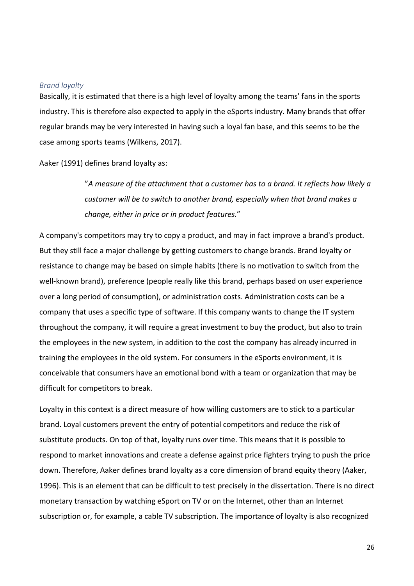### <span id="page-25-0"></span>*Brand loyalty*

Basically, it is estimated that there is a high level of loyalty among the teams' fans in the sports industry. This is therefore also expected to apply in the eSports industry. Many brands that offer regular brands may be very interested in having such a loyal fan base, and this seems to be the case among sports teams (Wilkens, 2017).

Aaker (1991) defines brand loyalty as:

"*A measure of the attachment that a customer has to a brand. It reflects how likely a customer will be to switch to another brand, especially when that brand makes a change, either in price or in product features.*"

A company's competitors may try to copy a product, and may in fact improve a brand's product. But they still face a major challenge by getting customers to change brands. Brand loyalty or resistance to change may be based on simple habits (there is no motivation to switch from the well-known brand), preference (people really like this brand, perhaps based on user experience over a long period of consumption), or administration costs. Administration costs can be a company that uses a specific type of software. If this company wants to change the IT system throughout the company, it will require a great investment to buy the product, but also to train the employees in the new system, in addition to the cost the company has already incurred in training the employees in the old system. For consumers in the eSports environment, it is conceivable that consumers have an emotional bond with a team or organization that may be difficult for competitors to break.

Loyalty in this context is a direct measure of how willing customers are to stick to a particular brand. Loyal customers prevent the entry of potential competitors and reduce the risk of substitute products. On top of that, loyalty runs over time. This means that it is possible to respond to market innovations and create a defense against price fighters trying to push the price down. Therefore, Aaker defines brand loyalty as a core dimension of brand equity theory (Aaker, 1996). This is an element that can be difficult to test precisely in the dissertation. There is no direct monetary transaction by watching eSport on TV or on the Internet, other than an Internet subscription or, for example, a cable TV subscription. The importance of loyalty is also recognized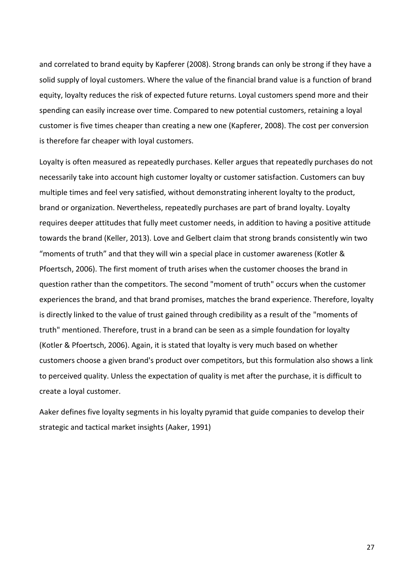and correlated to brand equity by Kapferer (2008). Strong brands can only be strong if they have a solid supply of loyal customers. Where the value of the financial brand value is a function of brand equity, loyalty reduces the risk of expected future returns. Loyal customers spend more and their spending can easily increase over time. Compared to new potential customers, retaining a loyal customer is five times cheaper than creating a new one (Kapferer, 2008). The cost per conversion is therefore far cheaper with loyal customers.

Loyalty is often measured as repeatedly purchases. Keller argues that repeatedly purchases do not necessarily take into account high customer loyalty or customer satisfaction. Customers can buy multiple times and feel very satisfied, without demonstrating inherent loyalty to the product, brand or organization. Nevertheless, repeatedly purchases are part of brand loyalty. Loyalty requires deeper attitudes that fully meet customer needs, in addition to having a positive attitude towards the brand (Keller, 2013). Love and Gelbert claim that strong brands consistently win two "moments of truth" and that they will win a special place in customer awareness (Kotler & Pfoertsch, 2006). The first moment of truth arises when the customer chooses the brand in question rather than the competitors. The second "moment of truth" occurs when the customer experiences the brand, and that brand promises, matches the brand experience. Therefore, loyalty is directly linked to the value of trust gained through credibility as a result of the "moments of truth" mentioned. Therefore, trust in a brand can be seen as a simple foundation for loyalty (Kotler & Pfoertsch, 2006). Again, it is stated that loyalty is very much based on whether customers choose a given brand's product over competitors, but this formulation also shows a link to perceived quality. Unless the expectation of quality is met after the purchase, it is difficult to create a loyal customer.

Aaker defines five loyalty segments in his loyalty pyramid that guide companies to develop their strategic and tactical market insights (Aaker, 1991)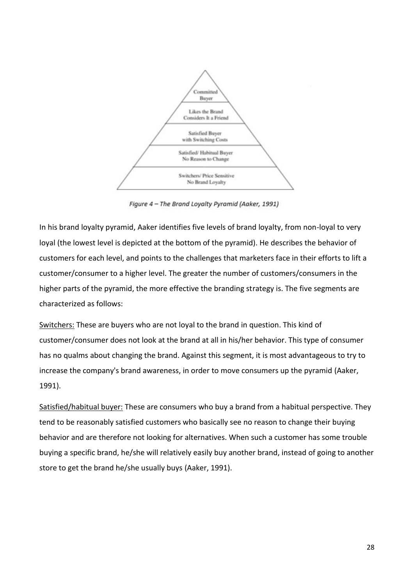

Figure 4 - The Brand Loyalty Pyramid (Aaker, 1991)

In his brand loyalty pyramid, Aaker identifies five levels of brand loyalty, from non-loyal to very loyal (the lowest level is depicted at the bottom of the pyramid). He describes the behavior of customers for each level, and points to the challenges that marketers face in their efforts to lift a customer/consumer to a higher level. The greater the number of customers/consumers in the higher parts of the pyramid, the more effective the branding strategy is. The five segments are characterized as follows:

Switchers: These are buyers who are not loyal to the brand in question. This kind of customer/consumer does not look at the brand at all in his/her behavior. This type of consumer has no qualms about changing the brand. Against this segment, it is most advantageous to try to increase the company's brand awareness, in order to move consumers up the pyramid (Aaker, 1991).

Satisfied/habitual buyer: These are consumers who buy a brand from a habitual perspective. They tend to be reasonably satisfied customers who basically see no reason to change their buying behavior and are therefore not looking for alternatives. When such a customer has some trouble buying a specific brand, he/she will relatively easily buy another brand, instead of going to another store to get the brand he/she usually buys (Aaker, 1991).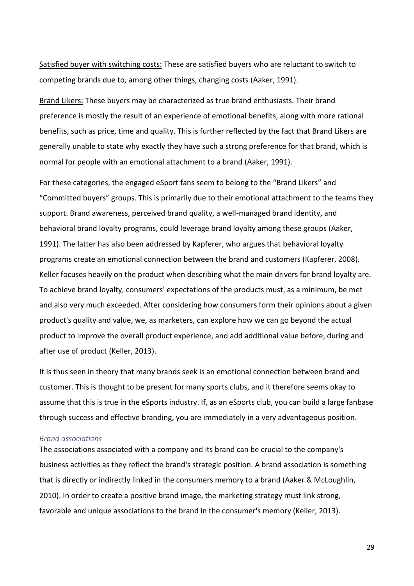Satisfied buyer with switching costs: These are satisfied buyers who are reluctant to switch to competing brands due to, among other things, changing costs (Aaker, 1991).

Brand Likers: These buyers may be characterized as true brand enthusiasts. Their brand preference is mostly the result of an experience of emotional benefits, along with more rational benefits, such as price, time and quality. This is further reflected by the fact that Brand Likers are generally unable to state why exactly they have such a strong preference for that brand, which is normal for people with an emotional attachment to a brand (Aaker, 1991).

For these categories, the engaged eSport fans seem to belong to the "Brand Likers" and "Committed buyers" groups. This is primarily due to their emotional attachment to the teams they support. Brand awareness, perceived brand quality, a well-managed brand identity, and behavioral brand loyalty programs, could leverage brand loyalty among these groups (Aaker, 1991). The latter has also been addressed by Kapferer, who argues that behavioral loyalty programs create an emotional connection between the brand and customers (Kapferer, 2008). Keller focuses heavily on the product when describing what the main drivers for brand loyalty are. To achieve brand loyalty, consumers' expectations of the products must, as a minimum, be met and also very much exceeded. After considering how consumers form their opinions about a given product's quality and value, we, as marketers, can explore how we can go beyond the actual product to improve the overall product experience, and add additional value before, during and after use of product (Keller, 2013).

It is thus seen in theory that many brands seek is an emotional connection between brand and customer. This is thought to be present for many sports clubs, and it therefore seems okay to assume that this is true in the eSports industry. If, as an eSports club, you can build a large fanbase through success and effective branding, you are immediately in a very advantageous position.

#### <span id="page-28-0"></span>*Brand associations*

The associations associated with a company and its brand can be crucial to the company's business activities as they reflect the brand's strategic position. A brand association is something that is directly or indirectly linked in the consumers memory to a brand (Aaker & McLoughlin, 2010). In order to create a positive brand image, the marketing strategy must link strong, favorable and unique associations to the brand in the consumer's memory (Keller, 2013).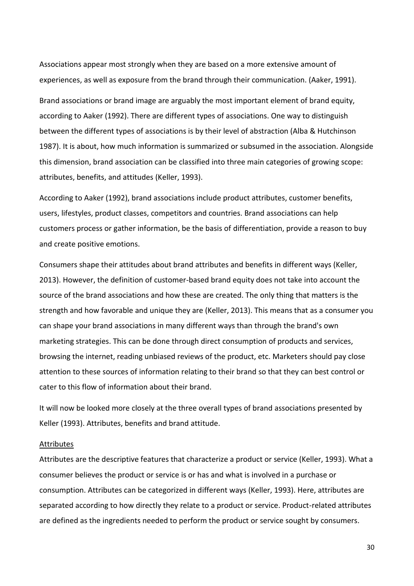Associations appear most strongly when they are based on a more extensive amount of experiences, as well as exposure from the brand through their communication. (Aaker, 1991).

Brand associations or brand image are arguably the most important element of brand equity, according to Aaker (1992). There are different types of associations. One way to distinguish between the different types of associations is by their level of abstraction (Alba & Hutchinson 1987). It is about, how much information is summarized or subsumed in the association. Alongside this dimension, brand association can be classified into three main categories of growing scope: attributes, benefits, and attitudes (Keller, 1993).

According to Aaker (1992), brand associations include product attributes, customer benefits, users, lifestyles, product classes, competitors and countries. Brand associations can help customers process or gather information, be the basis of differentiation, provide a reason to buy and create positive emotions.

Consumers shape their attitudes about brand attributes and benefits in different ways (Keller, 2013). However, the definition of customer-based brand equity does not take into account the source of the brand associations and how these are created. The only thing that matters is the strength and how favorable and unique they are (Keller, 2013). This means that as a consumer you can shape your brand associations in many different ways than through the brand's own marketing strategies. This can be done through direct consumption of products and services, browsing the internet, reading unbiased reviews of the product, etc. Marketers should pay close attention to these sources of information relating to their brand so that they can best control or cater to this flow of information about their brand.

It will now be looked more closely at the three overall types of brand associations presented by Keller (1993). Attributes, benefits and brand attitude.

#### Attributes

Attributes are the descriptive features that characterize a product or service (Keller, 1993). What a consumer believes the product or service is or has and what is involved in a purchase or consumption. Attributes can be categorized in different ways (Keller, 1993). Here, attributes are separated according to how directly they relate to a product or service. Product-related attributes are defined as the ingredients needed to perform the product or service sought by consumers.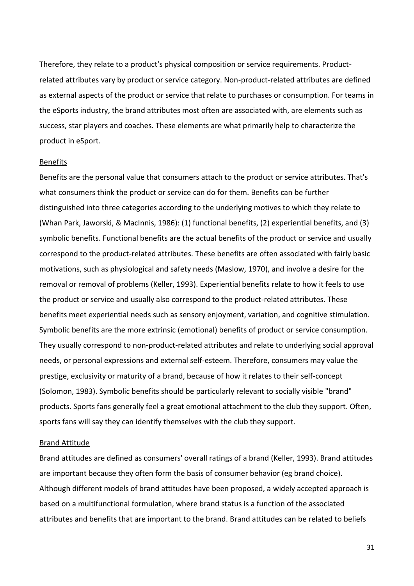Therefore, they relate to a product's physical composition or service requirements. Productrelated attributes vary by product or service category. Non-product-related attributes are defined as external aspects of the product or service that relate to purchases or consumption. For teams in the eSports industry, the brand attributes most often are associated with, are elements such as success, star players and coaches. These elements are what primarily help to characterize the product in eSport.

#### Benefits

Benefits are the personal value that consumers attach to the product or service attributes. That's what consumers think the product or service can do for them. Benefits can be further distinguished into three categories according to the underlying motives to which they relate to (Whan Park, Jaworski, & MacInnis, 1986): (1) functional benefits, (2) experiential benefits, and (3) symbolic benefits. Functional benefits are the actual benefits of the product or service and usually correspond to the product-related attributes. These benefits are often associated with fairly basic motivations, such as physiological and safety needs (Maslow, 1970), and involve a desire for the removal or removal of problems (Keller, 1993). Experiential benefits relate to how it feels to use the product or service and usually also correspond to the product-related attributes. These benefits meet experiential needs such as sensory enjoyment, variation, and cognitive stimulation. Symbolic benefits are the more extrinsic (emotional) benefits of product or service consumption. They usually correspond to non-product-related attributes and relate to underlying social approval needs, or personal expressions and external self-esteem. Therefore, consumers may value the prestige, exclusivity or maturity of a brand, because of how it relates to their self-concept (Solomon, 1983). Symbolic benefits should be particularly relevant to socially visible "brand" products. Sports fans generally feel a great emotional attachment to the club they support. Often, sports fans will say they can identify themselves with the club they support.

#### Brand Attitude

Brand attitudes are defined as consumers' overall ratings of a brand (Keller, 1993). Brand attitudes are important because they often form the basis of consumer behavior (eg brand choice). Although different models of brand attitudes have been proposed, a widely accepted approach is based on a multifunctional formulation, where brand status is a function of the associated attributes and benefits that are important to the brand. Brand attitudes can be related to beliefs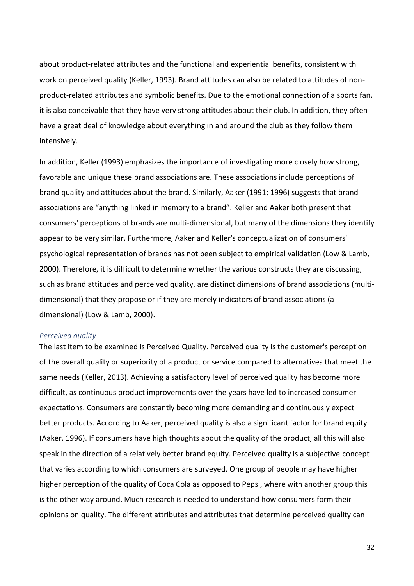about product-related attributes and the functional and experiential benefits, consistent with work on perceived quality (Keller, 1993). Brand attitudes can also be related to attitudes of nonproduct-related attributes and symbolic benefits. Due to the emotional connection of a sports fan, it is also conceivable that they have very strong attitudes about their club. In addition, they often have a great deal of knowledge about everything in and around the club as they follow them intensively.

In addition, Keller (1993) emphasizes the importance of investigating more closely how strong, favorable and unique these brand associations are. These associations include perceptions of brand quality and attitudes about the brand. Similarly, Aaker (1991; 1996) suggests that brand associations are "anything linked in memory to a brand". Keller and Aaker both present that consumers' perceptions of brands are multi-dimensional, but many of the dimensions they identify appear to be very similar. Furthermore, Aaker and Keller's conceptualization of consumers' psychological representation of brands has not been subject to empirical validation (Low & Lamb, 2000). Therefore, it is difficult to determine whether the various constructs they are discussing, such as brand attitudes and perceived quality, are distinct dimensions of brand associations (multidimensional) that they propose or if they are merely indicators of brand associations (adimensional) (Low & Lamb, 2000).

#### <span id="page-31-0"></span>*Perceived quality*

The last item to be examined is Perceived Quality. Perceived quality is the customer's perception of the overall quality or superiority of a product or service compared to alternatives that meet the same needs (Keller, 2013). Achieving a satisfactory level of perceived quality has become more difficult, as continuous product improvements over the years have led to increased consumer expectations. Consumers are constantly becoming more demanding and continuously expect better products. According to Aaker, perceived quality is also a significant factor for brand equity (Aaker, 1996). If consumers have high thoughts about the quality of the product, all this will also speak in the direction of a relatively better brand equity. Perceived quality is a subjective concept that varies according to which consumers are surveyed. One group of people may have higher higher perception of the quality of Coca Cola as opposed to Pepsi, where with another group this is the other way around. Much research is needed to understand how consumers form their opinions on quality. The different attributes and attributes that determine perceived quality can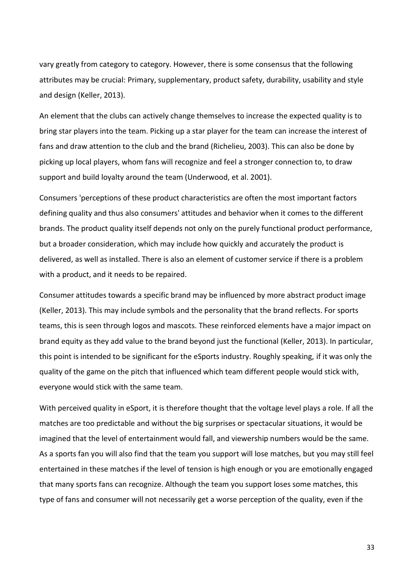vary greatly from category to category. However, there is some consensus that the following attributes may be crucial: Primary, supplementary, product safety, durability, usability and style and design (Keller, 2013).

An element that the clubs can actively change themselves to increase the expected quality is to bring star players into the team. Picking up a star player for the team can increase the interest of fans and draw attention to the club and the brand (Richelieu, 2003). This can also be done by picking up local players, whom fans will recognize and feel a stronger connection to, to draw support and build loyalty around the team (Underwood, et al. 2001).

Consumers 'perceptions of these product characteristics are often the most important factors defining quality and thus also consumers' attitudes and behavior when it comes to the different brands. The product quality itself depends not only on the purely functional product performance, but a broader consideration, which may include how quickly and accurately the product is delivered, as well as installed. There is also an element of customer service if there is a problem with a product, and it needs to be repaired.

Consumer attitudes towards a specific brand may be influenced by more abstract product image (Keller, 2013). This may include symbols and the personality that the brand reflects. For sports teams, this is seen through logos and mascots. These reinforced elements have a major impact on brand equity as they add value to the brand beyond just the functional (Keller, 2013). In particular, this point is intended to be significant for the eSports industry. Roughly speaking, if it was only the quality of the game on the pitch that influenced which team different people would stick with, everyone would stick with the same team.

With perceived quality in eSport, it is therefore thought that the voltage level plays a role. If all the matches are too predictable and without the big surprises or spectacular situations, it would be imagined that the level of entertainment would fall, and viewership numbers would be the same. As a sports fan you will also find that the team you support will lose matches, but you may still feel entertained in these matches if the level of tension is high enough or you are emotionally engaged that many sports fans can recognize. Although the team you support loses some matches, this type of fans and consumer will not necessarily get a worse perception of the quality, even if the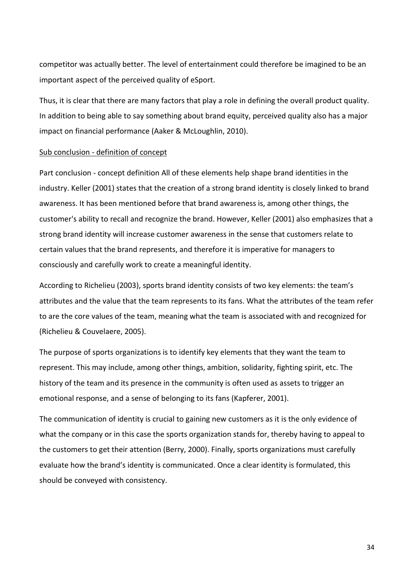competitor was actually better. The level of entertainment could therefore be imagined to be an important aspect of the perceived quality of eSport.

Thus, it is clear that there are many factors that play a role in defining the overall product quality. In addition to being able to say something about brand equity, perceived quality also has a major impact on financial performance (Aaker & McLoughlin, 2010).

## Sub conclusion - definition of concept

Part conclusion - concept definition All of these elements help shape brand identities in the industry. Keller (2001) states that the creation of a strong brand identity is closely linked to brand awareness. It has been mentioned before that brand awareness is, among other things, the customer's ability to recall and recognize the brand. However, Keller (2001) also emphasizes that a strong brand identity will increase customer awareness in the sense that customers relate to certain values that the brand represents, and therefore it is imperative for managers to consciously and carefully work to create a meaningful identity.

According to Richelieu (2003), sports brand identity consists of two key elements: the team's attributes and the value that the team represents to its fans. What the attributes of the team refer to are the core values of the team, meaning what the team is associated with and recognized for (Richelieu & Couvelaere, 2005).

The purpose of sports organizations is to identify key elements that they want the team to represent. This may include, among other things, ambition, solidarity, fighting spirit, etc. The history of the team and its presence in the community is often used as assets to trigger an emotional response, and a sense of belonging to its fans (Kapferer, 2001).

The communication of identity is crucial to gaining new customers as it is the only evidence of what the company or in this case the sports organization stands for, thereby having to appeal to the customers to get their attention (Berry, 2000). Finally, sports organizations must carefully evaluate how the brand's identity is communicated. Once a clear identity is formulated, this should be conveyed with consistency.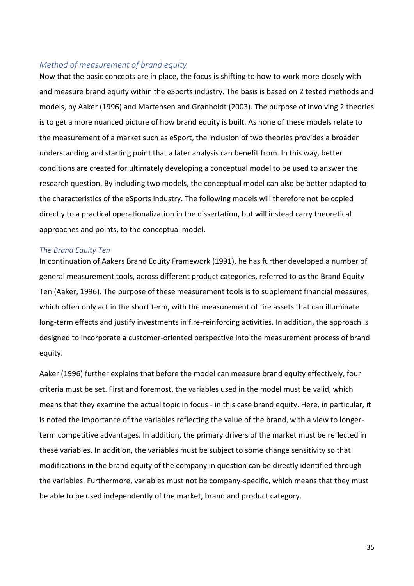## <span id="page-34-0"></span>*Method of measurement of brand equity*

Now that the basic concepts are in place, the focus is shifting to how to work more closely with and measure brand equity within the eSports industry. The basis is based on 2 tested methods and models, by Aaker (1996) and Martensen and Grønholdt (2003). The purpose of involving 2 theories is to get a more nuanced picture of how brand equity is built. As none of these models relate to the measurement of a market such as eSport, the inclusion of two theories provides a broader understanding and starting point that a later analysis can benefit from. In this way, better conditions are created for ultimately developing a conceptual model to be used to answer the research question. By including two models, the conceptual model can also be better adapted to the characteristics of the eSports industry. The following models will therefore not be copied directly to a practical operationalization in the dissertation, but will instead carry theoretical approaches and points, to the conceptual model.

#### <span id="page-34-1"></span>*The Brand Equity Ten*

In continuation of Aakers Brand Equity Framework (1991), he has further developed a number of general measurement tools, across different product categories, referred to as the Brand Equity Ten (Aaker, 1996). The purpose of these measurement tools is to supplement financial measures, which often only act in the short term, with the measurement of fire assets that can illuminate long-term effects and justify investments in fire-reinforcing activities. In addition, the approach is designed to incorporate a customer-oriented perspective into the measurement process of brand equity.

Aaker (1996) further explains that before the model can measure brand equity effectively, four criteria must be set. First and foremost, the variables used in the model must be valid, which means that they examine the actual topic in focus - in this case brand equity. Here, in particular, it is noted the importance of the variables reflecting the value of the brand, with a view to longerterm competitive advantages. In addition, the primary drivers of the market must be reflected in these variables. In addition, the variables must be subject to some change sensitivity so that modifications in the brand equity of the company in question can be directly identified through the variables. Furthermore, variables must not be company-specific, which means that they must be able to be used independently of the market, brand and product category.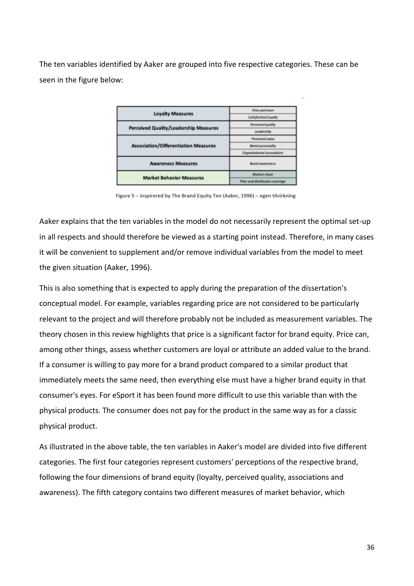The ten variables identified by Aaker are grouped into five respective categories. These can be seen in the figure below:

| <b>Loyalty Measures</b>                      | Price premium                   |
|----------------------------------------------|---------------------------------|
|                                              | Satisfaction/Loyalty            |
| <b>Perceived Quality/Leadership Measures</b> | Perceived quality               |
|                                              | Leadership                      |
| <b>Association/Differentiation Measures</b>  | Perceived volue                 |
|                                              | <b>Brand personality</b>        |
|                                              | Organizational associations     |
| <b>Awareness Measures</b>                    | <b>Brand awareness</b>          |
| <b>Market Behavior Measures</b>              | Market share                    |
|                                              | Price and distribution coverage |

Figure 5 - inspirered by The Brand Equity Ten (Aaker, 1996) - egen tilvirkning

Aaker explains that the ten variables in the model do not necessarily represent the optimal set-up in all respects and should therefore be viewed as a starting point instead. Therefore, in many cases it will be convenient to supplement and/or remove individual variables from the model to meet the given situation (Aaker, 1996).

This is also something that is expected to apply during the preparation of the dissertation's conceptual model. For example, variables regarding price are not considered to be particularly relevant to the project and will therefore probably not be included as measurement variables. The theory chosen in this review highlights that price is a significant factor for brand equity. Price can, among other things, assess whether customers are loyal or attribute an added value to the brand. If a consumer is willing to pay more for a brand product compared to a similar product that immediately meets the same need, then everything else must have a higher brand equity in that consumer's eyes. For eSport it has been found more difficult to use this variable than with the physical products. The consumer does not pay for the product in the same way as for a classic physical product.

As illustrated in the above table, the ten variables in Aaker's model are divided into five different categories. The first four categories represent customers' perceptions of the respective brand, following the four dimensions of brand equity (loyalty, perceived quality, associations and awareness). The fifth category contains two different measures of market behavior, which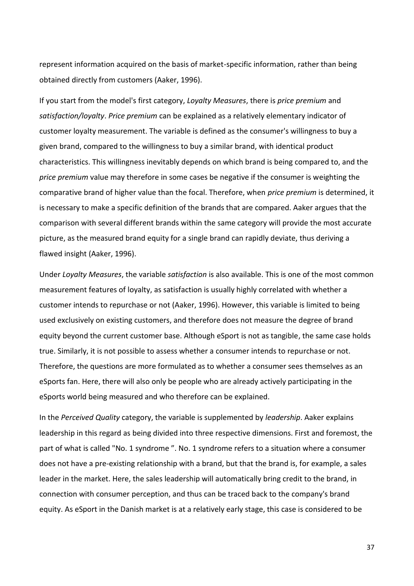represent information acquired on the basis of market-specific information, rather than being obtained directly from customers (Aaker, 1996).

If you start from the model's first category, *Loyalty Measures*, there is *price premium* and *satisfaction/loyalty*. *Price premium* can be explained as a relatively elementary indicator of customer loyalty measurement. The variable is defined as the consumer's willingness to buy a given brand, compared to the willingness to buy a similar brand, with identical product characteristics. This willingness inevitably depends on which brand is being compared to, and the *price premium* value may therefore in some cases be negative if the consumer is weighting the comparative brand of higher value than the focal. Therefore, when *price premium* is determined, it is necessary to make a specific definition of the brands that are compared. Aaker argues that the comparison with several different brands within the same category will provide the most accurate picture, as the measured brand equity for a single brand can rapidly deviate, thus deriving a flawed insight (Aaker, 1996).

Under *Loyalty Measures*, the variable *satisfaction* is also available. This is one of the most common measurement features of loyalty, as satisfaction is usually highly correlated with whether a customer intends to repurchase or not (Aaker, 1996). However, this variable is limited to being used exclusively on existing customers, and therefore does not measure the degree of brand equity beyond the current customer base. Although eSport is not as tangible, the same case holds true. Similarly, it is not possible to assess whether a consumer intends to repurchase or not. Therefore, the questions are more formulated as to whether a consumer sees themselves as an eSports fan. Here, there will also only be people who are already actively participating in the eSports world being measured and who therefore can be explained.

In the *Perceived Quality* category, the variable is supplemented by *leadership*. Aaker explains leadership in this regard as being divided into three respective dimensions. First and foremost, the part of what is called "No. 1 syndrome ". No. 1 syndrome refers to a situation where a consumer does not have a pre-existing relationship with a brand, but that the brand is, for example, a sales leader in the market. Here, the sales leadership will automatically bring credit to the brand, in connection with consumer perception, and thus can be traced back to the company's brand equity. As eSport in the Danish market is at a relatively early stage, this case is considered to be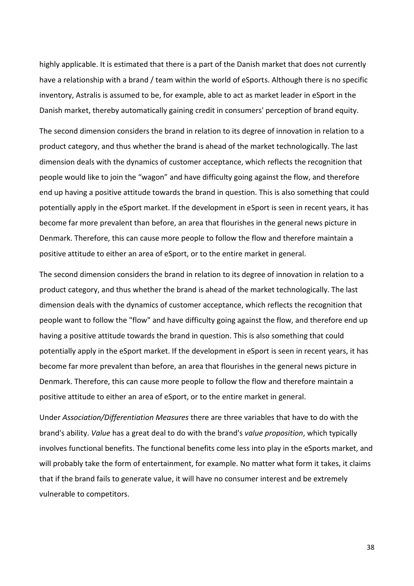highly applicable. It is estimated that there is a part of the Danish market that does not currently have a relationship with a brand / team within the world of eSports. Although there is no specific inventory, Astralis is assumed to be, for example, able to act as market leader in eSport in the Danish market, thereby automatically gaining credit in consumers' perception of brand equity.

The second dimension considers the brand in relation to its degree of innovation in relation to a product category, and thus whether the brand is ahead of the market technologically. The last dimension deals with the dynamics of customer acceptance, which reflects the recognition that people would like to join the "wagon" and have difficulty going against the flow, and therefore end up having a positive attitude towards the brand in question. This is also something that could potentially apply in the eSport market. If the development in eSport is seen in recent years, it has become far more prevalent than before, an area that flourishes in the general news picture in Denmark. Therefore, this can cause more people to follow the flow and therefore maintain a positive attitude to either an area of eSport, or to the entire market in general.

The second dimension considers the brand in relation to its degree of innovation in relation to a product category, and thus whether the brand is ahead of the market technologically. The last dimension deals with the dynamics of customer acceptance, which reflects the recognition that people want to follow the "flow" and have difficulty going against the flow, and therefore end up having a positive attitude towards the brand in question. This is also something that could potentially apply in the eSport market. If the development in eSport is seen in recent years, it has become far more prevalent than before, an area that flourishes in the general news picture in Denmark. Therefore, this can cause more people to follow the flow and therefore maintain a positive attitude to either an area of eSport, or to the entire market in general.

Under *Association/Differentiation Measures* there are three variables that have to do with the brand's ability. *Value* has a great deal to do with the brand's *value proposition*, which typically involves functional benefits. The functional benefits come less into play in the eSports market, and will probably take the form of entertainment, for example. No matter what form it takes, it claims that if the brand fails to generate value, it will have no consumer interest and be extremely vulnerable to competitors.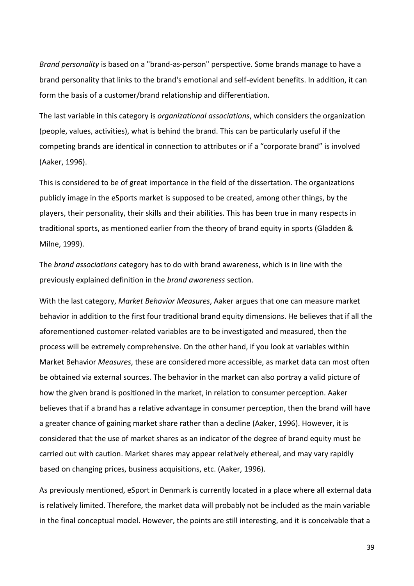*Brand personality* is based on a "brand-as-person" perspective. Some brands manage to have a brand personality that links to the brand's emotional and self-evident benefits. In addition, it can form the basis of a customer/brand relationship and differentiation.

The last variable in this category is *organizational associations*, which considers the organization (people, values, activities), what is behind the brand. This can be particularly useful if the competing brands are identical in connection to attributes or if a "corporate brand" is involved (Aaker, 1996).

This is considered to be of great importance in the field of the dissertation. The organizations publicly image in the eSports market is supposed to be created, among other things, by the players, their personality, their skills and their abilities. This has been true in many respects in traditional sports, as mentioned earlier from the theory of brand equity in sports (Gladden & Milne, 1999).

The *brand associations* category has to do with brand awareness, which is in line with the previously explained definition in the *brand awareness* section.

With the last category, *Market Behavior Measures*, Aaker argues that one can measure market behavior in addition to the first four traditional brand equity dimensions. He believes that if all the aforementioned customer-related variables are to be investigated and measured, then the process will be extremely comprehensive. On the other hand, if you look at variables within Market Behavior *Measures*, these are considered more accessible, as market data can most often be obtained via external sources. The behavior in the market can also portray a valid picture of how the given brand is positioned in the market, in relation to consumer perception. Aaker believes that if a brand has a relative advantage in consumer perception, then the brand will have a greater chance of gaining market share rather than a decline (Aaker, 1996). However, it is considered that the use of market shares as an indicator of the degree of brand equity must be carried out with caution. Market shares may appear relatively ethereal, and may vary rapidly based on changing prices, business acquisitions, etc. (Aaker, 1996).

As previously mentioned, eSport in Denmark is currently located in a place where all external data is relatively limited. Therefore, the market data will probably not be included as the main variable in the final conceptual model. However, the points are still interesting, and it is conceivable that a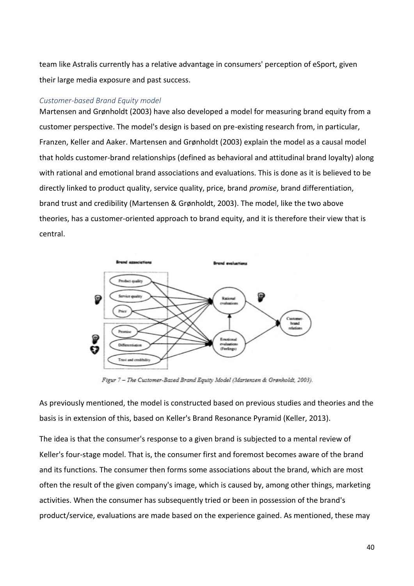team like Astralis currently has a relative advantage in consumers' perception of eSport, given their large media exposure and past success.

## *Customer-based Brand Equity model*

Martensen and Grønholdt (2003) have also developed a model for measuring brand equity from a customer perspective. The model's design is based on pre-existing research from, in particular, Franzen, Keller and Aaker. Martensen and Grønholdt (2003) explain the model as a causal model that holds customer-brand relationships (defined as behavioral and attitudinal brand loyalty) along with rational and emotional brand associations and evaluations. This is done as it is believed to be directly linked to product quality, service quality, price, brand *promise*, brand differentiation, brand trust and credibility (Martensen & Grønholdt, 2003). The model, like the two above theories, has a customer-oriented approach to brand equity, and it is therefore their view that is central.



Figur 7 - The Customer-Based Brand Equity Model (Martensen & Grønholdt, 2003).

As previously mentioned, the model is constructed based on previous studies and theories and the basis is in extension of this, based on Keller's Brand Resonance Pyramid (Keller, 2013).

The idea is that the consumer's response to a given brand is subjected to a mental review of Keller's four-stage model. That is, the consumer first and foremost becomes aware of the brand and its functions. The consumer then forms some associations about the brand, which are most often the result of the given company's image, which is caused by, among other things, marketing activities. When the consumer has subsequently tried or been in possession of the brand's product/service, evaluations are made based on the experience gained. As mentioned, these may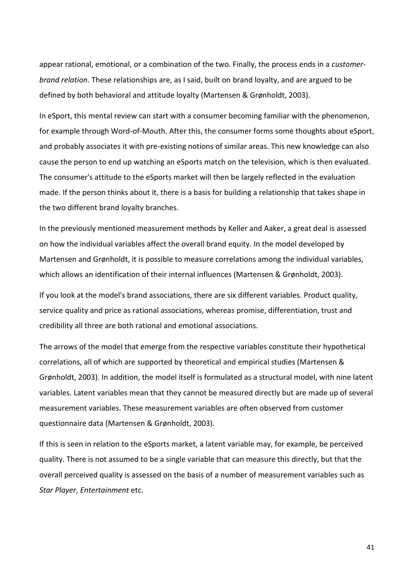appear rational, emotional, or a combination of the two. Finally, the process ends in a *customerbrand relation*. These relationships are, as I said, built on brand loyalty, and are argued to be defined by both behavioral and attitude loyalty (Martensen & Grønholdt, 2003).

In eSport, this mental review can start with a consumer becoming familiar with the phenomenon, for example through Word-of-Mouth. After this, the consumer forms some thoughts about eSport, and probably associates it with pre-existing notions of similar areas. This new knowledge can also cause the person to end up watching an eSports match on the television, which is then evaluated. The consumer's attitude to the eSports market will then be largely reflected in the evaluation made. If the person thinks about it, there is a basis for building a relationship that takes shape in the two different brand loyalty branches.

In the previously mentioned measurement methods by Keller and Aaker, a great deal is assessed on how the individual variables affect the overall brand equity. In the model developed by Martensen and Grønholdt, it is possible to measure correlations among the individual variables, which allows an identification of their internal influences (Martensen & Grønholdt, 2003).

If you look at the model's brand associations, there are six different variables. Product quality, service quality and price as rational associations, whereas promise, differentiation, trust and credibility all three are both rational and emotional associations.

The arrows of the model that emerge from the respective variables constitute their hypothetical correlations, all of which are supported by theoretical and empirical studies (Martensen & Grønholdt, 2003). In addition, the model itself is formulated as a structural model, with nine latent variables. Latent variables mean that they cannot be measured directly but are made up of several measurement variables. These measurement variables are often observed from customer questionnaire data (Martensen & Grønholdt, 2003).

If this is seen in relation to the eSports market, a latent variable may, for example, be perceived quality. There is not assumed to be a single variable that can measure this directly, but that the overall perceived quality is assessed on the basis of a number of measurement variables such as *Star Player*, *Entertainment* etc.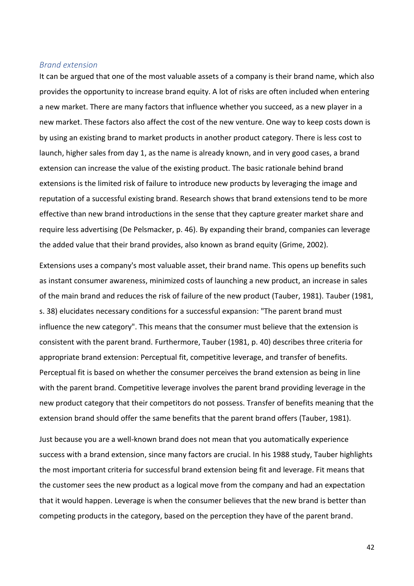## *Brand extension*

It can be argued that one of the most valuable assets of a company is their brand name, which also provides the opportunity to increase brand equity. A lot of risks are often included when entering a new market. There are many factors that influence whether you succeed, as a new player in a new market. These factors also affect the cost of the new venture. One way to keep costs down is by using an existing brand to market products in another product category. There is less cost to launch, higher sales from day 1, as the name is already known, and in very good cases, a brand extension can increase the value of the existing product. The basic rationale behind brand extensions is the limited risk of failure to introduce new products by leveraging the image and reputation of a successful existing brand. Research shows that brand extensions tend to be more effective than new brand introductions in the sense that they capture greater market share and require less advertising (De Pelsmacker, p. 46). By expanding their brand, companies can leverage the added value that their brand provides, also known as brand equity (Grime, 2002).

Extensions uses a company's most valuable asset, their brand name. This opens up benefits such as instant consumer awareness, minimized costs of launching a new product, an increase in sales of the main brand and reduces the risk of failure of the new product (Tauber, 1981). Tauber (1981, s. 38) elucidates necessary conditions for a successful expansion: "The parent brand must influence the new category". This means that the consumer must believe that the extension is consistent with the parent brand. Furthermore, Tauber (1981, p. 40) describes three criteria for appropriate brand extension: Perceptual fit, competitive leverage, and transfer of benefits. Perceptual fit is based on whether the consumer perceives the brand extension as being in line with the parent brand. Competitive leverage involves the parent brand providing leverage in the new product category that their competitors do not possess. Transfer of benefits meaning that the extension brand should offer the same benefits that the parent brand offers (Tauber, 1981).

Just because you are a well-known brand does not mean that you automatically experience success with a brand extension, since many factors are crucial. In his 1988 study, Tauber highlights the most important criteria for successful brand extension being fit and leverage. Fit means that the customer sees the new product as a logical move from the company and had an expectation that it would happen. Leverage is when the consumer believes that the new brand is better than competing products in the category, based on the perception they have of the parent brand.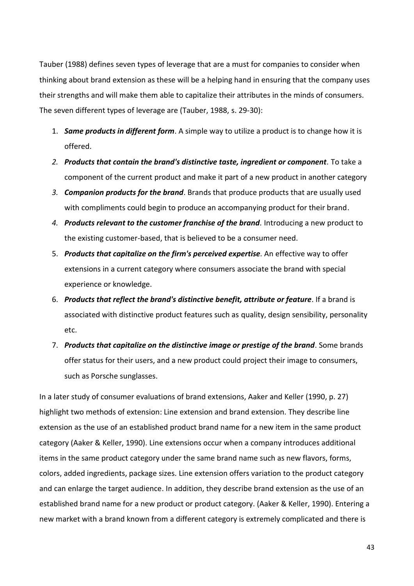Tauber (1988) defines seven types of leverage that are a must for companies to consider when thinking about brand extension as these will be a helping hand in ensuring that the company uses their strengths and will make them able to capitalize their attributes in the minds of consumers. The seven different types of leverage are (Tauber, 1988, s. 29-30):

- 1. *Same products in different form*. A simple way to utilize a product is to change how it is offered.
- *2. Products that contain the brand's distinctive taste, ingredient or component.* To take a component of the current product and make it part of a new product in another category
- *3. Companion products for the brand*. Brands that produce products that are usually used with compliments could begin to produce an accompanying product for their brand.
- *4. Products relevant to the customer franchise of the brand.* Introducing a new product to the existing customer-based, that is believed to be a consumer need.
- 5. *Products that capitalize on the firm's perceived expertise.* An effective way to offer extensions in a current category where consumers associate the brand with special experience or knowledge.
- 6. *Products that reflect the brand's distinctive benefit, attribute or feature*. If a brand is associated with distinctive product features such as quality, design sensibility, personality etc.
- 7. *Products that capitalize on the distinctive image or prestige of the brand*. Some brands offer status for their users, and a new product could project their image to consumers, such as Porsche sunglasses.

In a later study of consumer evaluations of brand extensions, Aaker and Keller (1990, p. 27) highlight two methods of extension: Line extension and brand extension. They describe line extension as the use of an established product brand name for a new item in the same product category (Aaker & Keller, 1990). Line extensions occur when a company introduces additional items in the same product category under the same brand name such as new flavors, forms, colors, added ingredients, package sizes. Line extension offers variation to the product category and can enlarge the target audience. In addition, they describe brand extension as the use of an established brand name for a new product or product category. (Aaker & Keller, 1990). Entering a new market with a brand known from a different category is extremely complicated and there is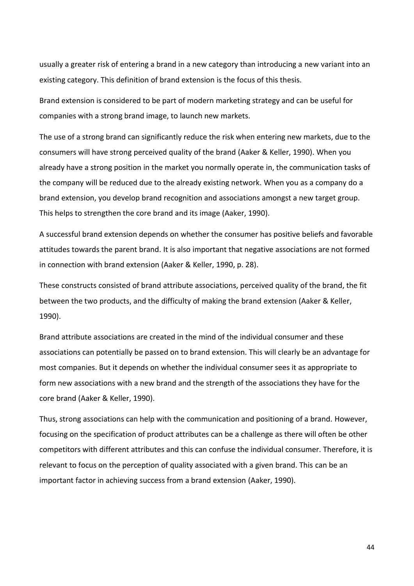usually a greater risk of entering a brand in a new category than introducing a new variant into an existing category. This definition of brand extension is the focus of this thesis.

Brand extension is considered to be part of modern marketing strategy and can be useful for companies with a strong brand image, to launch new markets.

The use of a strong brand can significantly reduce the risk when entering new markets, due to the consumers will have strong perceived quality of the brand (Aaker & Keller, 1990). When you already have a strong position in the market you normally operate in, the communication tasks of the company will be reduced due to the already existing network. When you as a company do a brand extension, you develop brand recognition and associations amongst a new target group. This helps to strengthen the core brand and its image (Aaker, 1990).

A successful brand extension depends on whether the consumer has positive beliefs and favorable attitudes towards the parent brand. It is also important that negative associations are not formed in connection with brand extension (Aaker & Keller, 1990, p. 28).

These constructs consisted of brand attribute associations, perceived quality of the brand, the fit between the two products, and the difficulty of making the brand extension (Aaker & Keller, 1990).

Brand attribute associations are created in the mind of the individual consumer and these associations can potentially be passed on to brand extension. This will clearly be an advantage for most companies. But it depends on whether the individual consumer sees it as appropriate to form new associations with a new brand and the strength of the associations they have for the core brand (Aaker & Keller, 1990).

Thus, strong associations can help with the communication and positioning of a brand. However, focusing on the specification of product attributes can be a challenge as there will often be other competitors with different attributes and this can confuse the individual consumer. Therefore, it is relevant to focus on the perception of quality associated with a given brand. This can be an important factor in achieving success from a brand extension (Aaker, 1990).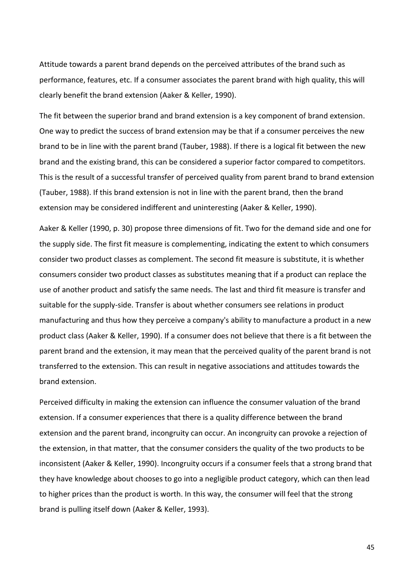Attitude towards a parent brand depends on the perceived attributes of the brand such as performance, features, etc. If a consumer associates the parent brand with high quality, this will clearly benefit the brand extension (Aaker & Keller, 1990).

The fit between the superior brand and brand extension is a key component of brand extension. One way to predict the success of brand extension may be that if a consumer perceives the new brand to be in line with the parent brand (Tauber, 1988). If there is a logical fit between the new brand and the existing brand, this can be considered a superior factor compared to competitors. This is the result of a successful transfer of perceived quality from parent brand to brand extension (Tauber, 1988). If this brand extension is not in line with the parent brand, then the brand extension may be considered indifferent and uninteresting (Aaker & Keller, 1990).

Aaker & Keller (1990, p. 30) propose three dimensions of fit. Two for the demand side and one for the supply side. The first fit measure is complementing, indicating the extent to which consumers consider two product classes as complement. The second fit measure is substitute, it is whether consumers consider two product classes as substitutes meaning that if a product can replace the use of another product and satisfy the same needs. The last and third fit measure is transfer and suitable for the supply-side. Transfer is about whether consumers see relations in product manufacturing and thus how they perceive a company's ability to manufacture a product in a new product class (Aaker & Keller, 1990). If a consumer does not believe that there is a fit between the parent brand and the extension, it may mean that the perceived quality of the parent brand is not transferred to the extension. This can result in negative associations and attitudes towards the brand extension.

Perceived difficulty in making the extension can influence the consumer valuation of the brand extension. If a consumer experiences that there is a quality difference between the brand extension and the parent brand, incongruity can occur. An incongruity can provoke a rejection of the extension, in that matter, that the consumer considers the quality of the two products to be inconsistent (Aaker & Keller, 1990). Incongruity occurs if a consumer feels that a strong brand that they have knowledge about chooses to go into a negligible product category, which can then lead to higher prices than the product is worth. In this way, the consumer will feel that the strong brand is pulling itself down (Aaker & Keller, 1993).

45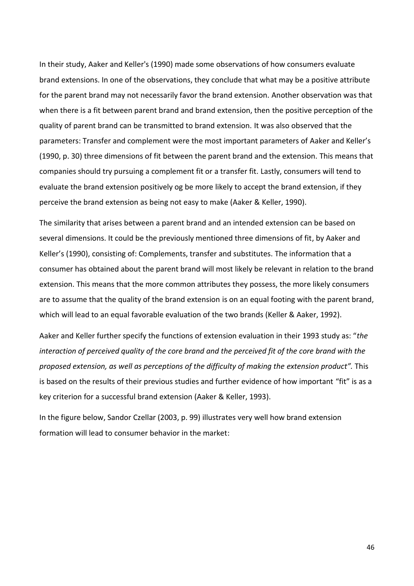In their study, Aaker and Keller's (1990) made some observations of how consumers evaluate brand extensions. In one of the observations, they conclude that what may be a positive attribute for the parent brand may not necessarily favor the brand extension. Another observation was that when there is a fit between parent brand and brand extension, then the positive perception of the quality of parent brand can be transmitted to brand extension. It was also observed that the parameters: Transfer and complement were the most important parameters of Aaker and Keller's (1990, p. 30) three dimensions of fit between the parent brand and the extension. This means that companies should try pursuing a complement fit or a transfer fit. Lastly, consumers will tend to evaluate the brand extension positively og be more likely to accept the brand extension, if they perceive the brand extension as being not easy to make (Aaker & Keller, 1990).

The similarity that arises between a parent brand and an intended extension can be based on several dimensions. It could be the previously mentioned three dimensions of fit, by Aaker and Keller's (1990), consisting of: Complements, transfer and substitutes. The information that a consumer has obtained about the parent brand will most likely be relevant in relation to the brand extension. This means that the more common attributes they possess, the more likely consumers are to assume that the quality of the brand extension is on an equal footing with the parent brand, which will lead to an equal favorable evaluation of the two brands (Keller & Aaker, 1992).

Aaker and Keller further specify the functions of extension evaluation in their 1993 study as: "*the interaction of perceived quality of the core brand and the perceived fit of the core brand with the proposed extension, as well as perceptions of the difficulty of making the extension product".* This is based on the results of their previous studies and further evidence of how important "fit" is as a key criterion for a successful brand extension (Aaker & Keller, 1993).

In the figure below, Sandor Czellar (2003, p. 99) illustrates very well how brand extension formation will lead to consumer behavior in the market: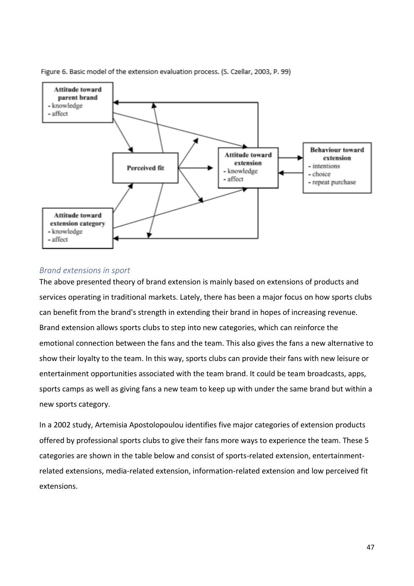

Figure 6. Basic model of the extension evaluation process. (S. Czellar, 2003, P. 99)

## *Brand extensions in sport*

The above presented theory of brand extension is mainly based on extensions of products and services operating in traditional markets. Lately, there has been a major focus on how sports clubs can benefit from the brand's strength in extending their brand in hopes of increasing revenue. Brand extension allows sports clubs to step into new categories, which can reinforce the emotional connection between the fans and the team. This also gives the fans a new alternative to show their loyalty to the team. In this way, sports clubs can provide their fans with new leisure or entertainment opportunities associated with the team brand. It could be team broadcasts, apps, sports camps as well as giving fans a new team to keep up with under the same brand but within a new sports category.

In a 2002 study, Artemisia Apostolopoulou identifies five major categories of extension products offered by professional sports clubs to give their fans more ways to experience the team. These 5 categories are shown in the table below and consist of sports-related extension, entertainmentrelated extensions, media-related extension, information-related extension and low perceived fit extensions.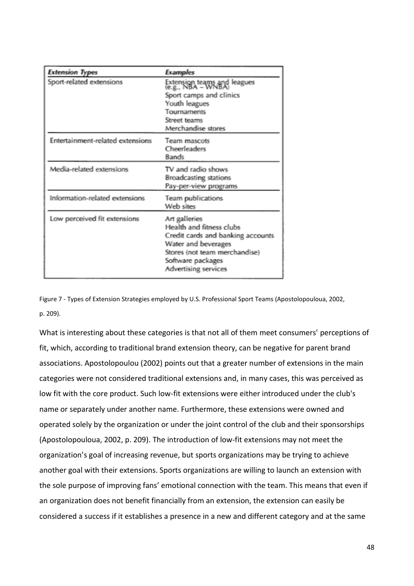| <b>Extension Types</b>           | <b>Examples</b>                                                                                                                                                                     |
|----------------------------------|-------------------------------------------------------------------------------------------------------------------------------------------------------------------------------------|
| Sport-related extensions         | Extension teams and leagues<br>(e.g., NBA – WNBA)                                                                                                                                   |
|                                  | Sport camps and clinics                                                                                                                                                             |
|                                  | Youth leagues                                                                                                                                                                       |
|                                  | Tournaments                                                                                                                                                                         |
|                                  | Street teams                                                                                                                                                                        |
|                                  | Merchandise stores                                                                                                                                                                  |
| Entertainment-related extensions | Team mascots<br>Cheerleaders<br><b>Bands</b>                                                                                                                                        |
| Media-related extensions         | TV and radio shows                                                                                                                                                                  |
|                                  | <b>Broadcasting stations</b>                                                                                                                                                        |
|                                  | Pay-per-view programs                                                                                                                                                               |
| Information-related extensions   | Team publications<br>Web sites                                                                                                                                                      |
| Low perceived fit extensions     | Art galleries<br>Health and fitness clubs<br>Credit cards and banking accounts<br>Water and beverages<br>Stores (not team merchandise)<br>Software packages<br>Advertising services |

Figure 7 - Types of Extension Strategies employed by U.S. Professional Sport Teams (Apostolopouloua, 2002, p. 209).

What is interesting about these categories is that not all of them meet consumers' perceptions of fit, which, according to traditional brand extension theory, can be negative for parent brand associations. Apostolopoulou (2002) points out that a greater number of extensions in the main categories were not considered traditional extensions and, in many cases, this was perceived as low fit with the core product. Such low-fit extensions were either introduced under the club's name or separately under another name. Furthermore, these extensions were owned and operated solely by the organization or under the joint control of the club and their sponsorships (Apostolopouloua, 2002, p. 209). The introduction of low-fit extensions may not meet the organization's goal of increasing revenue, but sports organizations may be trying to achieve another goal with their extensions. Sports organizations are willing to launch an extension with the sole purpose of improving fans' emotional connection with the team. This means that even if an organization does not benefit financially from an extension, the extension can easily be considered a success if it establishes a presence in a new and different category and at the same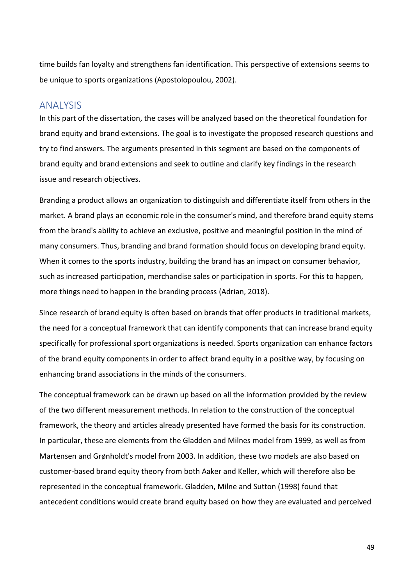time builds fan loyalty and strengthens fan identification. This perspective of extensions seems to be unique to sports organizations (Apostolopoulou, 2002).

# ANALYSIS

In this part of the dissertation, the cases will be analyzed based on the theoretical foundation for brand equity and brand extensions. The goal is to investigate the proposed research questions and try to find answers. The arguments presented in this segment are based on the components of brand equity and brand extensions and seek to outline and clarify key findings in the research issue and research objectives.

Branding a product allows an organization to distinguish and differentiate itself from others in the market. A brand plays an economic role in the consumer's mind, and therefore brand equity stems from the brand's ability to achieve an exclusive, positive and meaningful position in the mind of many consumers. Thus, branding and brand formation should focus on developing brand equity. When it comes to the sports industry, building the brand has an impact on consumer behavior, such as increased participation, merchandise sales or participation in sports. For this to happen, more things need to happen in the branding process (Adrian, 2018).

Since research of brand equity is often based on brands that offer products in traditional markets, the need for a conceptual framework that can identify components that can increase brand equity specifically for professional sport organizations is needed. Sports organization can enhance factors of the brand equity components in order to affect brand equity in a positive way, by focusing on enhancing brand associations in the minds of the consumers.

The conceptual framework can be drawn up based on all the information provided by the review of the two different measurement methods. In relation to the construction of the conceptual framework, the theory and articles already presented have formed the basis for its construction. In particular, these are elements from the Gladden and Milnes model from 1999, as well as from Martensen and Grønholdt's model from 2003. In addition, these two models are also based on customer-based brand equity theory from both Aaker and Keller, which will therefore also be represented in the conceptual framework. Gladden, Milne and Sutton (1998) found that antecedent conditions would create brand equity based on how they are evaluated and perceived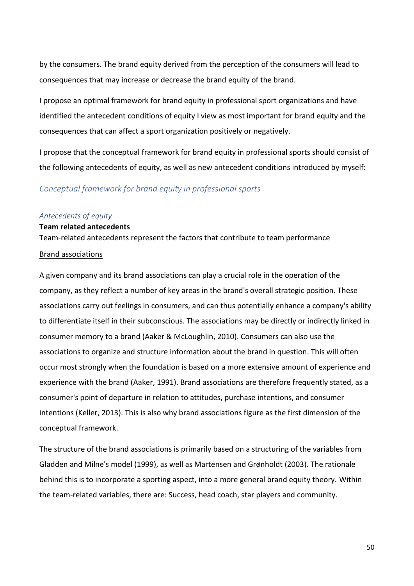by the consumers. The brand equity derived from the perception of the consumers will lead to consequences that may increase or decrease the brand equity of the brand.

I propose an optimal framework for brand equity in professional sport organizations and have identified the antecedent conditions of equity I view as most important for brand equity and the consequences that can affect a sport organization positively or negatively.

I propose that the conceptual framework for brand equity in professional sports should consist of the following antecedents of equity, as well as new antecedent conditions introduced by myself:

## *Conceptual framework for brand equity in professional sports*

#### *Antecedents of equity*

### **Team related antecedents**

Team-related antecedents represent the factors that contribute to team performance

## Brand associations

A given company and its brand associations can play a crucial role in the operation of the company, as they reflect a number of key areas in the brand's overall strategic position. These associations carry out feelings in consumers, and can thus potentially enhance a company's ability to differentiate itself in their subconscious. The associations may be directly or indirectly linked in consumer memory to a brand (Aaker & McLoughlin, 2010). Consumers can also use the associations to organize and structure information about the brand in question. This will often occur most strongly when the foundation is based on a more extensive amount of experience and experience with the brand (Aaker, 1991). Brand associations are therefore frequently stated, as a consumer's point of departure in relation to attitudes, purchase intentions, and consumer intentions (Keller, 2013). This is also why brand associations figure as the first dimension of the conceptual framework.

The structure of the brand associations is primarily based on a structuring of the variables from Gladden and Milne's model (1999), as well as Martensen and Grønholdt (2003). The rationale behind this is to incorporate a sporting aspect, into a more general brand equity theory. Within the team-related variables, there are: Success, head coach, star players and community.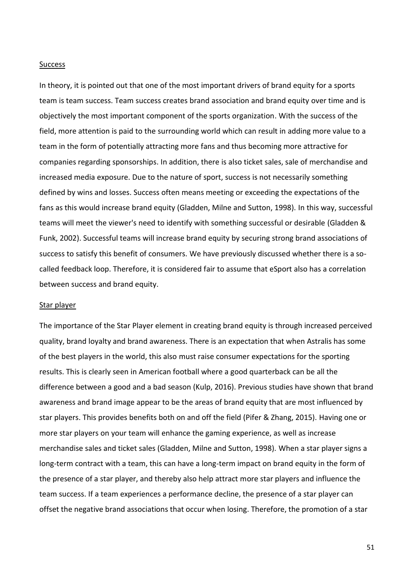#### **Success**

In theory, it is pointed out that one of the most important drivers of brand equity for a sports team is team success. Team success creates brand association and brand equity over time and is objectively the most important component of the sports organization. With the success of the field, more attention is paid to the surrounding world which can result in adding more value to a team in the form of potentially attracting more fans and thus becoming more attractive for companies regarding sponsorships. In addition, there is also ticket sales, sale of merchandise and increased media exposure. Due to the nature of sport, success is not necessarily something defined by wins and losses. Success often means meeting or exceeding the expectations of the fans as this would increase brand equity (Gladden, Milne and Sutton, 1998). In this way, successful teams will meet the viewer's need to identify with something successful or desirable (Gladden & Funk, 2002). Successful teams will increase brand equity by securing strong brand associations of success to satisfy this benefit of consumers. We have previously discussed whether there is a socalled feedback loop. Therefore, it is considered fair to assume that eSport also has a correlation between success and brand equity.

#### Star player

The importance of the Star Player element in creating brand equity is through increased perceived quality, brand loyalty and brand awareness. There is an expectation that when Astralis has some of the best players in the world, this also must raise consumer expectations for the sporting results. This is clearly seen in American football where a good quarterback can be all the difference between a good and a bad season (Kulp, 2016). Previous studies have shown that brand awareness and brand image appear to be the areas of brand equity that are most influenced by star players. This provides benefits both on and off the field (Pifer & Zhang, 2015). Having one or more star players on your team will enhance the gaming experience, as well as increase merchandise sales and ticket sales (Gladden, Milne and Sutton, 1998). When a star player signs a long-term contract with a team, this can have a long-term impact on brand equity in the form of the presence of a star player, and thereby also help attract more star players and influence the team success. If a team experiences a performance decline, the presence of a star player can offset the negative brand associations that occur when losing. Therefore, the promotion of a star

51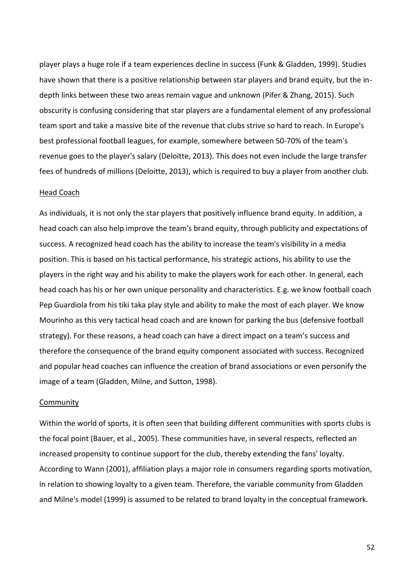player plays a huge role if a team experiences decline in success (Funk & Gladden, 1999). Studies have shown that there is a positive relationship between star players and brand equity, but the indepth links between these two areas remain vague and unknown (Pifer & Zhang, 2015). Such obscurity is confusing considering that star players are a fundamental element of any professional team sport and take a massive bite of the revenue that clubs strive so hard to reach. In Europe's best professional football leagues, for example, somewhere between 50-70% of the team's revenue goes to the player's salary (Deloitte, 2013). This does not even include the large transfer fees of hundreds of millions (Deloitte, 2013), which is required to buy a player from another club.

#### Head Coach

As individuals, it is not only the star players that positively influence brand equity. In addition, a head coach can also help improve the team's brand equity, through publicity and expectations of success. A recognized head coach has the ability to increase the team's visibility in a media position. This is based on his tactical performance, his strategic actions, his ability to use the players in the right way and his ability to make the players work for each other. In general, each head coach has his or her own unique personality and characteristics. E.g. we know football coach Pep Guardiola from his tiki taka play style and ability to make the most of each player. We know Mourinho as this very tactical head coach and are known for parking the bus (defensive football strategy). For these reasons, a head coach can have a direct impact on a team's success and therefore the consequence of the brand equity component associated with success. Recognized and popular head coaches can influence the creation of brand associations or even personify the image of a team (Gladden, Milne, and Sutton, 1998).

#### **Community**

Within the world of sports, it is often seen that building different communities with sports clubs is the focal point (Bauer, et al., 2005). These communities have, in several respects, reflected an increased propensity to continue support for the club, thereby extending the fans' loyalty. According to Wann (2001), affiliation plays a major role in consumers regarding sports motivation, in relation to showing loyalty to a given team. Therefore, the variable community from Gladden and Milne's model (1999) is assumed to be related to brand loyalty in the conceptual framework.

52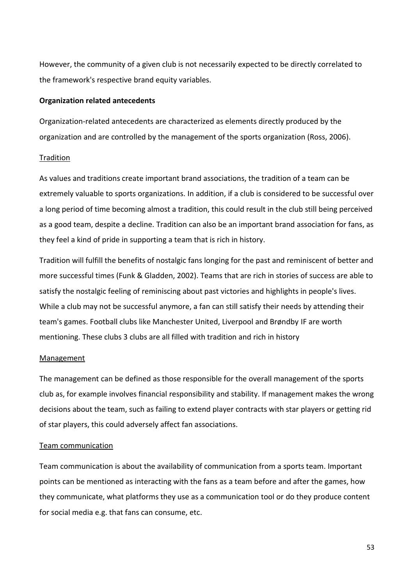However, the community of a given club is not necessarily expected to be directly correlated to the framework's respective brand equity variables.

## **Organization related antecedents**

Organization-related antecedents are characterized as elements directly produced by the organization and are controlled by the management of the sports organization (Ross, 2006).

## Tradition

As values and traditions create important brand associations, the tradition of a team can be extremely valuable to sports organizations. In addition, if a club is considered to be successful over a long period of time becoming almost a tradition, this could result in the club still being perceived as a good team, despite a decline. Tradition can also be an important brand association for fans, as they feel a kind of pride in supporting a team that is rich in history.

Tradition will fulfill the benefits of nostalgic fans longing for the past and reminiscent of better and more successful times (Funk & Gladden, 2002). Teams that are rich in stories of success are able to satisfy the nostalgic feeling of reminiscing about past victories and highlights in people's lives. While a club may not be successful anymore, a fan can still satisfy their needs by attending their team's games. Football clubs like Manchester United, Liverpool and Brøndby IF are worth mentioning. These clubs 3 clubs are all filled with tradition and rich in history

### Management

The management can be defined as those responsible for the overall management of the sports club as, for example involves financial responsibility and stability. If management makes the wrong decisions about the team, such as failing to extend player contracts with star players or getting rid of star players, this could adversely affect fan associations.

### Team communication

Team communication is about the availability of communication from a sports team. Important points can be mentioned as interacting with the fans as a team before and after the games, how they communicate, what platforms they use as a communication tool or do they produce content for social media e.g. that fans can consume, etc.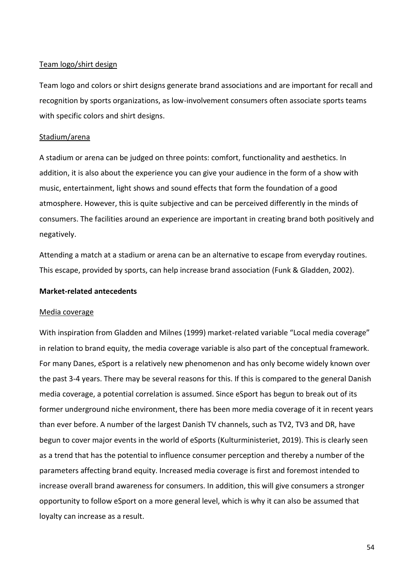### Team logo/shirt design

Team logo and colors or shirt designs generate brand associations and are important for recall and recognition by sports organizations, as low-involvement consumers often associate sports teams with specific colors and shirt designs.

## Stadium/arena

A stadium or arena can be judged on three points: comfort, functionality and aesthetics. In addition, it is also about the experience you can give your audience in the form of a show with music, entertainment, light shows and sound effects that form the foundation of a good atmosphere. However, this is quite subjective and can be perceived differently in the minds of consumers. The facilities around an experience are important in creating brand both positively and negatively.

Attending a match at a stadium or arena can be an alternative to escape from everyday routines. This escape, provided by sports, can help increase brand association (Funk & Gladden, 2002).

## **Market-related antecedents**

### Media coverage

With inspiration from Gladden and Milnes (1999) market-related variable "Local media coverage" in relation to brand equity, the media coverage variable is also part of the conceptual framework. For many Danes, eSport is a relatively new phenomenon and has only become widely known over the past 3-4 years. There may be several reasons for this. If this is compared to the general Danish media coverage, a potential correlation is assumed. Since eSport has begun to break out of its former underground niche environment, there has been more media coverage of it in recent years than ever before. A number of the largest Danish TV channels, such as TV2, TV3 and DR, have begun to cover major events in the world of eSports (Kulturministeriet, 2019). This is clearly seen as a trend that has the potential to influence consumer perception and thereby a number of the parameters affecting brand equity. Increased media coverage is first and foremost intended to increase overall brand awareness for consumers. In addition, this will give consumers a stronger opportunity to follow eSport on a more general level, which is why it can also be assumed that loyalty can increase as a result.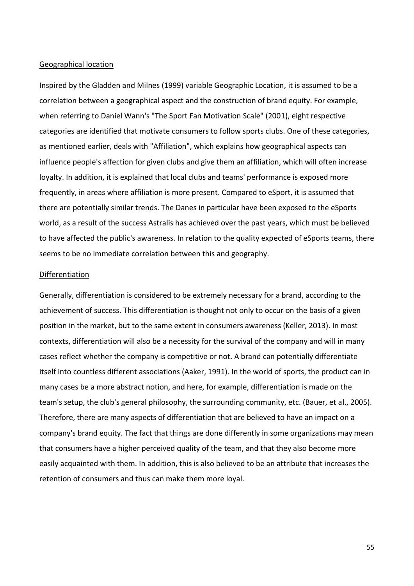#### Geographical location

Inspired by the Gladden and Milnes (1999) variable Geographic Location, it is assumed to be a correlation between a geographical aspect and the construction of brand equity. For example, when referring to Daniel Wann's "The Sport Fan Motivation Scale" (2001), eight respective categories are identified that motivate consumers to follow sports clubs. One of these categories, as mentioned earlier, deals with "Affiliation", which explains how geographical aspects can influence people's affection for given clubs and give them an affiliation, which will often increase loyalty. In addition, it is explained that local clubs and teams' performance is exposed more frequently, in areas where affiliation is more present. Compared to eSport, it is assumed that there are potentially similar trends. The Danes in particular have been exposed to the eSports world, as a result of the success Astralis has achieved over the past years, which must be believed to have affected the public's awareness. In relation to the quality expected of eSports teams, there seems to be no immediate correlation between this and geography.

### Differentiation

Generally, differentiation is considered to be extremely necessary for a brand, according to the achievement of success. This differentiation is thought not only to occur on the basis of a given position in the market, but to the same extent in consumers awareness (Keller, 2013). In most contexts, differentiation will also be a necessity for the survival of the company and will in many cases reflect whether the company is competitive or not. A brand can potentially differentiate itself into countless different associations (Aaker, 1991). In the world of sports, the product can in many cases be a more abstract notion, and here, for example, differentiation is made on the team's setup, the club's general philosophy, the surrounding community, etc. (Bauer, et al., 2005). Therefore, there are many aspects of differentiation that are believed to have an impact on a company's brand equity. The fact that things are done differently in some organizations may mean that consumers have a higher perceived quality of the team, and that they also become more easily acquainted with them. In addition, this is also believed to be an attribute that increases the retention of consumers and thus can make them more loyal.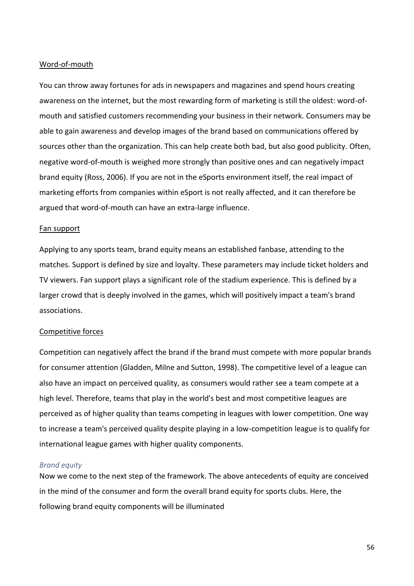## Word-of-mouth

You can throw away fortunes for ads in newspapers and magazines and spend hours creating awareness on the internet, but the most rewarding form of marketing is still the oldest: word-ofmouth and satisfied customers recommending your business in their network. Consumers may be able to gain awareness and develop images of the brand based on communications offered by sources other than the organization. This can help create both bad, but also good publicity. Often, negative word-of-mouth is weighed more strongly than positive ones and can negatively impact brand equity (Ross, 2006). If you are not in the eSports environment itself, the real impact of marketing efforts from companies within eSport is not really affected, and it can therefore be argued that word-of-mouth can have an extra-large influence.

### Fan support

Applying to any sports team, brand equity means an established fanbase, attending to the matches. Support is defined by size and loyalty. These parameters may include ticket holders and TV viewers. Fan support plays a significant role of the stadium experience. This is defined by a larger crowd that is deeply involved in the games, which will positively impact a team's brand associations.

### Competitive forces

Competition can negatively affect the brand if the brand must compete with more popular brands for consumer attention (Gladden, Milne and Sutton, 1998). The competitive level of a league can also have an impact on perceived quality, as consumers would rather see a team compete at a high level. Therefore, teams that play in the world's best and most competitive leagues are perceived as of higher quality than teams competing in leagues with lower competition. One way to increase a team's perceived quality despite playing in a low-competition league is to qualify for international league games with higher quality components.

## *Brand equity*

Now we come to the next step of the framework. The above antecedents of equity are conceived in the mind of the consumer and form the overall brand equity for sports clubs. Here, the following brand equity components will be illuminated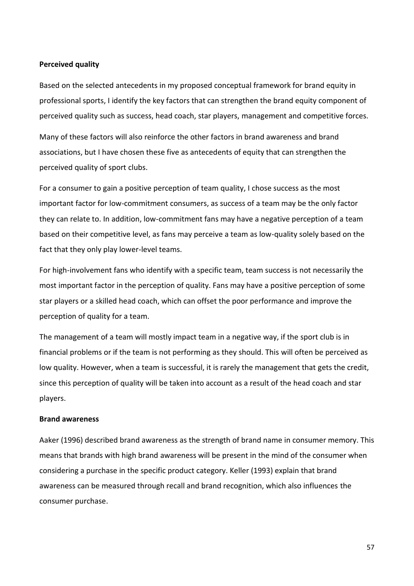#### **Perceived quality**

Based on the selected antecedents in my proposed conceptual framework for brand equity in professional sports, I identify the key factors that can strengthen the brand equity component of perceived quality such as success, head coach, star players, management and competitive forces.

Many of these factors will also reinforce the other factors in brand awareness and brand associations, but I have chosen these five as antecedents of equity that can strengthen the perceived quality of sport clubs.

For a consumer to gain a positive perception of team quality, I chose success as the most important factor for low-commitment consumers, as success of a team may be the only factor they can relate to. In addition, low-commitment fans may have a negative perception of a team based on their competitive level, as fans may perceive a team as low-quality solely based on the fact that they only play lower-level teams.

For high-involvement fans who identify with a specific team, team success is not necessarily the most important factor in the perception of quality. Fans may have a positive perception of some star players or a skilled head coach, which can offset the poor performance and improve the perception of quality for a team.

The management of a team will mostly impact team in a negative way, if the sport club is in financial problems or if the team is not performing as they should. This will often be perceived as low quality. However, when a team is successful, it is rarely the management that gets the credit, since this perception of quality will be taken into account as a result of the head coach and star players.

## **Brand awareness**

Aaker (1996) described brand awareness as the strength of brand name in consumer memory. This means that brands with high brand awareness will be present in the mind of the consumer when considering a purchase in the specific product category. Keller (1993) explain that brand awareness can be measured through recall and brand recognition, which also influences the consumer purchase.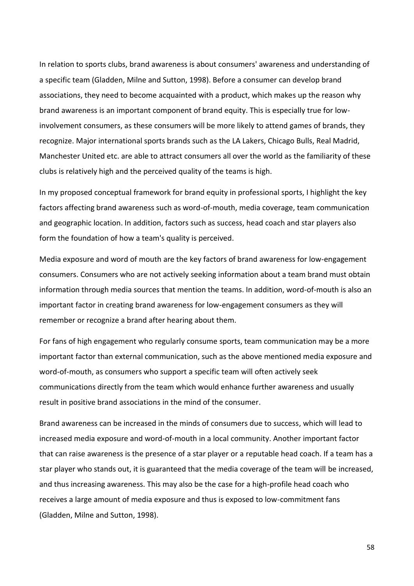In relation to sports clubs, brand awareness is about consumers' awareness and understanding of a specific team (Gladden, Milne and Sutton, 1998). Before a consumer can develop brand associations, they need to become acquainted with a product, which makes up the reason why brand awareness is an important component of brand equity. This is especially true for lowinvolvement consumers, as these consumers will be more likely to attend games of brands, they recognize. Major international sports brands such as the LA Lakers, Chicago Bulls, Real Madrid, Manchester United etc. are able to attract consumers all over the world as the familiarity of these clubs is relatively high and the perceived quality of the teams is high.

In my proposed conceptual framework for brand equity in professional sports, I highlight the key factors affecting brand awareness such as word-of-mouth, media coverage, team communication and geographic location. In addition, factors such as success, head coach and star players also form the foundation of how a team's quality is perceived.

Media exposure and word of mouth are the key factors of brand awareness for low-engagement consumers. Consumers who are not actively seeking information about a team brand must obtain information through media sources that mention the teams. In addition, word-of-mouth is also an important factor in creating brand awareness for low-engagement consumers as they will remember or recognize a brand after hearing about them.

For fans of high engagement who regularly consume sports, team communication may be a more important factor than external communication, such as the above mentioned media exposure and word-of-mouth, as consumers who support a specific team will often actively seek communications directly from the team which would enhance further awareness and usually result in positive brand associations in the mind of the consumer.

Brand awareness can be increased in the minds of consumers due to success, which will lead to increased media exposure and word-of-mouth in a local community. Another important factor that can raise awareness is the presence of a star player or a reputable head coach. If a team has a star player who stands out, it is guaranteed that the media coverage of the team will be increased, and thus increasing awareness. This may also be the case for a high-profile head coach who receives a large amount of media exposure and thus is exposed to low-commitment fans (Gladden, Milne and Sutton, 1998).

58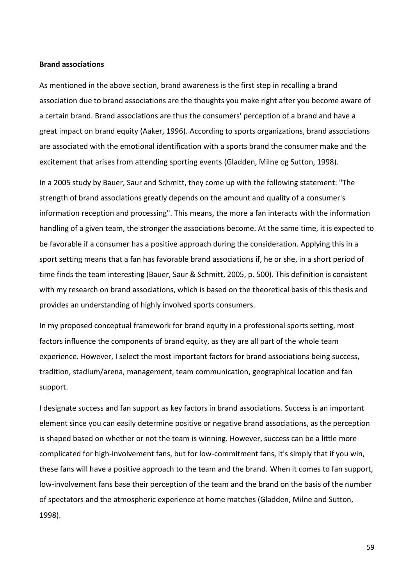#### **Brand associations**

As mentioned in the above section, brand awareness is the first step in recalling a brand association due to brand associations are the thoughts you make right after you become aware of a certain brand. Brand associations are thus the consumers' perception of a brand and have a great impact on brand equity (Aaker, 1996). According to sports organizations, brand associations are associated with the emotional identification with a sports brand the consumer make and the excitement that arises from attending sporting events (Gladden, Milne og Sutton, 1998).

In a 2005 study by Bauer, Saur and Schmitt, they come up with the following statement: "The strength of brand associations greatly depends on the amount and quality of a consumer's information reception and processing". This means, the more a fan interacts with the information handling of a given team, the stronger the associations become. At the same time, it is expected to be favorable if a consumer has a positive approach during the consideration. Applying this in a sport setting means that a fan has favorable brand associations if, he or she, in a short period of time finds the team interesting (Bauer, Saur & Schmitt, 2005, p. 500). This definition is consistent with my research on brand associations, which is based on the theoretical basis of this thesis and provides an understanding of highly involved sports consumers.

In my proposed conceptual framework for brand equity in a professional sports setting, most factors influence the components of brand equity, as they are all part of the whole team experience. However, I select the most important factors for brand associations being success, tradition, stadium/arena, management, team communication, geographical location and fan support.

I designate success and fan support as key factors in brand associations. Success is an important element since you can easily determine positive or negative brand associations, as the perception is shaped based on whether or not the team is winning. However, success can be a little more complicated for high-involvement fans, but for low-commitment fans, it's simply that if you win, these fans will have a positive approach to the team and the brand. When it comes to fan support, low-involvement fans base their perception of the team and the brand on the basis of the number of spectators and the atmospheric experience at home matches (Gladden, Milne and Sutton, 1998).

59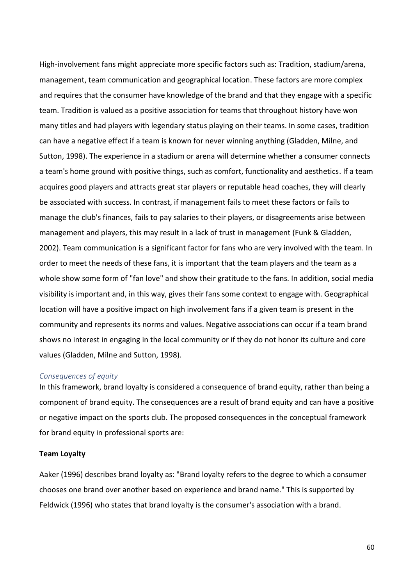High-involvement fans might appreciate more specific factors such as: Tradition, stadium/arena, management, team communication and geographical location. These factors are more complex and requires that the consumer have knowledge of the brand and that they engage with a specific team. Tradition is valued as a positive association for teams that throughout history have won many titles and had players with legendary status playing on their teams. In some cases, tradition can have a negative effect if a team is known for never winning anything (Gladden, Milne, and Sutton, 1998). The experience in a stadium or arena will determine whether a consumer connects a team's home ground with positive things, such as comfort, functionality and aesthetics. If a team acquires good players and attracts great star players or reputable head coaches, they will clearly be associated with success. In contrast, if management fails to meet these factors or fails to manage the club's finances, fails to pay salaries to their players, or disagreements arise between management and players, this may result in a lack of trust in management (Funk & Gladden, 2002). Team communication is a significant factor for fans who are very involved with the team. In order to meet the needs of these fans, it is important that the team players and the team as a whole show some form of "fan love" and show their gratitude to the fans. In addition, social media visibility is important and, in this way, gives their fans some context to engage with. Geographical location will have a positive impact on high involvement fans if a given team is present in the community and represents its norms and values. Negative associations can occur if a team brand shows no interest in engaging in the local community or if they do not honor its culture and core values (Gladden, Milne and Sutton, 1998).

## *Consequences of equity*

In this framework, brand loyalty is considered a consequence of brand equity, rather than being a component of brand equity. The consequences are a result of brand equity and can have a positive or negative impact on the sports club. The proposed consequences in the conceptual framework for brand equity in professional sports are:

### **Team Loyalty**

Aaker (1996) describes brand loyalty as: "Brand loyalty refers to the degree to which a consumer chooses one brand over another based on experience and brand name." This is supported by Feldwick (1996) who states that brand loyalty is the consumer's association with a brand.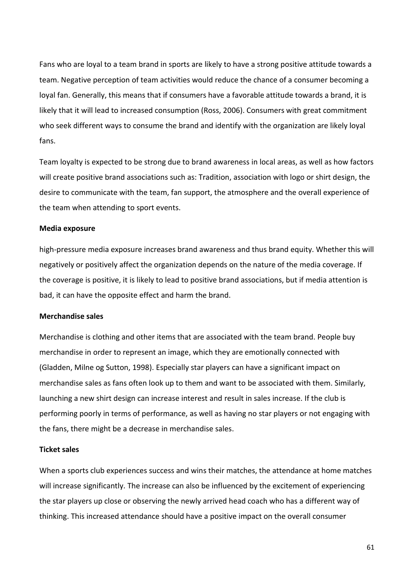Fans who are loyal to a team brand in sports are likely to have a strong positive attitude towards a team. Negative perception of team activities would reduce the chance of a consumer becoming a loyal fan. Generally, this means that if consumers have a favorable attitude towards a brand, it is likely that it will lead to increased consumption (Ross, 2006). Consumers with great commitment who seek different ways to consume the brand and identify with the organization are likely loyal fans.

Team loyalty is expected to be strong due to brand awareness in local areas, as well as how factors will create positive brand associations such as: Tradition, association with logo or shirt design, the desire to communicate with the team, fan support, the atmosphere and the overall experience of the team when attending to sport events.

#### **Media exposure**

high-pressure media exposure increases brand awareness and thus brand equity. Whether this will negatively or positively affect the organization depends on the nature of the media coverage. If the coverage is positive, it is likely to lead to positive brand associations, but if media attention is bad, it can have the opposite effect and harm the brand.

#### **Merchandise sales**

Merchandise is clothing and other items that are associated with the team brand. People buy merchandise in order to represent an image, which they are emotionally connected with (Gladden, Milne og Sutton, 1998). Especially star players can have a significant impact on merchandise sales as fans often look up to them and want to be associated with them. Similarly, launching a new shirt design can increase interest and result in sales increase. If the club is performing poorly in terms of performance, as well as having no star players or not engaging with the fans, there might be a decrease in merchandise sales.

#### **Ticket sales**

When a sports club experiences success and wins their matches, the attendance at home matches will increase significantly. The increase can also be influenced by the excitement of experiencing the star players up close or observing the newly arrived head coach who has a different way of thinking. This increased attendance should have a positive impact on the overall consumer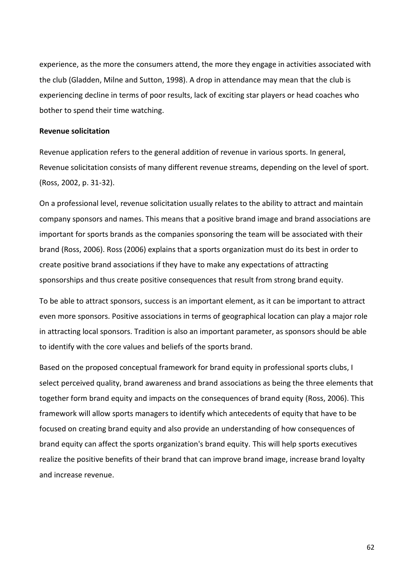experience, as the more the consumers attend, the more they engage in activities associated with the club (Gladden, Milne and Sutton, 1998). A drop in attendance may mean that the club is experiencing decline in terms of poor results, lack of exciting star players or head coaches who bother to spend their time watching.

#### **Revenue solicitation**

Revenue application refers to the general addition of revenue in various sports. In general, Revenue solicitation consists of many different revenue streams, depending on the level of sport. (Ross, 2002, p. 31-32).

On a professional level, revenue solicitation usually relates to the ability to attract and maintain company sponsors and names. This means that a positive brand image and brand associations are important for sports brands as the companies sponsoring the team will be associated with their brand (Ross, 2006). Ross (2006) explains that a sports organization must do its best in order to create positive brand associations if they have to make any expectations of attracting sponsorships and thus create positive consequences that result from strong brand equity.

To be able to attract sponsors, success is an important element, as it can be important to attract even more sponsors. Positive associations in terms of geographical location can play a major role in attracting local sponsors. Tradition is also an important parameter, as sponsors should be able to identify with the core values and beliefs of the sports brand.

Based on the proposed conceptual framework for brand equity in professional sports clubs, I select perceived quality, brand awareness and brand associations as being the three elements that together form brand equity and impacts on the consequences of brand equity (Ross, 2006). This framework will allow sports managers to identify which antecedents of equity that have to be focused on creating brand equity and also provide an understanding of how consequences of brand equity can affect the sports organization's brand equity. This will help sports executives realize the positive benefits of their brand that can improve brand image, increase brand loyalty and increase revenue.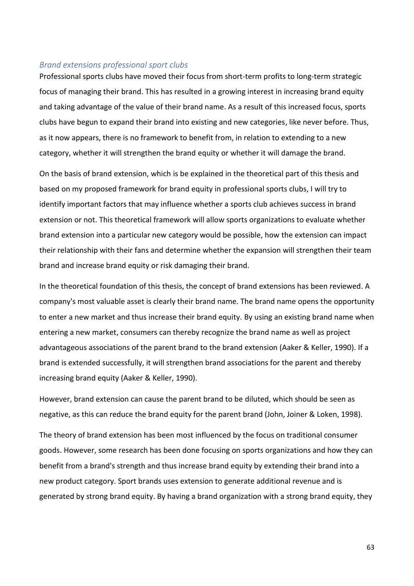## *Brand extensions professional sport clubs*

Professional sports clubs have moved their focus from short-term profits to long-term strategic focus of managing their brand. This has resulted in a growing interest in increasing brand equity and taking advantage of the value of their brand name. As a result of this increased focus, sports clubs have begun to expand their brand into existing and new categories, like never before. Thus, as it now appears, there is no framework to benefit from, in relation to extending to a new category, whether it will strengthen the brand equity or whether it will damage the brand.

On the basis of brand extension, which is be explained in the theoretical part of this thesis and based on my proposed framework for brand equity in professional sports clubs, I will try to identify important factors that may influence whether a sports club achieves success in brand extension or not. This theoretical framework will allow sports organizations to evaluate whether brand extension into a particular new category would be possible, how the extension can impact their relationship with their fans and determine whether the expansion will strengthen their team brand and increase brand equity or risk damaging their brand.

In the theoretical foundation of this thesis, the concept of brand extensions has been reviewed. A company's most valuable asset is clearly their brand name. The brand name opens the opportunity to enter a new market and thus increase their brand equity. By using an existing brand name when entering a new market, consumers can thereby recognize the brand name as well as project advantageous associations of the parent brand to the brand extension (Aaker & Keller, 1990). If a brand is extended successfully, it will strengthen brand associations for the parent and thereby increasing brand equity (Aaker & Keller, 1990).

However, brand extension can cause the parent brand to be diluted, which should be seen as negative, as this can reduce the brand equity for the parent brand (John, Joiner & Loken, 1998).

The theory of brand extension has been most influenced by the focus on traditional consumer goods. However, some research has been done focusing on sports organizations and how they can benefit from a brand's strength and thus increase brand equity by extending their brand into a new product category. Sport brands uses extension to generate additional revenue and is generated by strong brand equity. By having a brand organization with a strong brand equity, they

63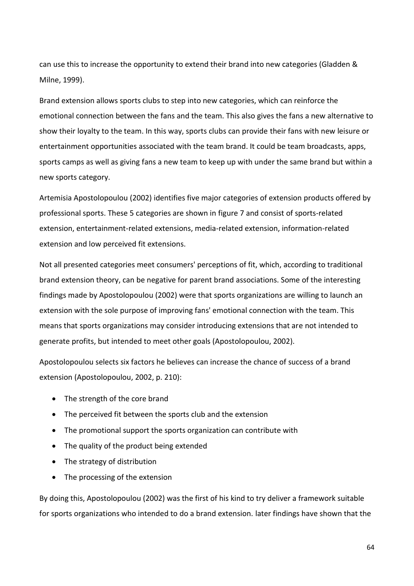can use this to increase the opportunity to extend their brand into new categories (Gladden & Milne, 1999).

Brand extension allows sports clubs to step into new categories, which can reinforce the emotional connection between the fans and the team. This also gives the fans a new alternative to show their loyalty to the team. In this way, sports clubs can provide their fans with new leisure or entertainment opportunities associated with the team brand. It could be team broadcasts, apps, sports camps as well as giving fans a new team to keep up with under the same brand but within a new sports category.

Artemisia Apostolopoulou (2002) identifies five major categories of extension products offered by professional sports. These 5 categories are shown in figure 7 and consist of sports-related extension, entertainment-related extensions, media-related extension, information-related extension and low perceived fit extensions.

Not all presented categories meet consumers' perceptions of fit, which, according to traditional brand extension theory, can be negative for parent brand associations. Some of the interesting findings made by Apostolopoulou (2002) were that sports organizations are willing to launch an extension with the sole purpose of improving fans' emotional connection with the team. This means that sports organizations may consider introducing extensions that are not intended to generate profits, but intended to meet other goals (Apostolopoulou, 2002).

Apostolopoulou selects six factors he believes can increase the chance of success of a brand extension (Apostolopoulou, 2002, p. 210):

- The strength of the core brand
- The perceived fit between the sports club and the extension
- The promotional support the sports organization can contribute with
- The quality of the product being extended
- The strategy of distribution
- The processing of the extension

By doing this, Apostolopoulou (2002) was the first of his kind to try deliver a framework suitable for sports organizations who intended to do a brand extension. later findings have shown that the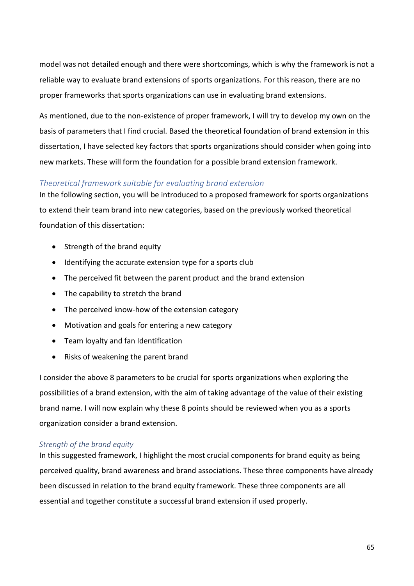model was not detailed enough and there were shortcomings, which is why the framework is not a reliable way to evaluate brand extensions of sports organizations. For this reason, there are no proper frameworks that sports organizations can use in evaluating brand extensions.

As mentioned, due to the non-existence of proper framework, I will try to develop my own on the basis of parameters that I find crucial. Based the theoretical foundation of brand extension in this dissertation, I have selected key factors that sports organizations should consider when going into new markets. These will form the foundation for a possible brand extension framework.

## *Theoretical framework suitable for evaluating brand extension*

In the following section, you will be introduced to a proposed framework for sports organizations to extend their team brand into new categories, based on the previously worked theoretical foundation of this dissertation:

- Strength of the brand equity
- Identifying the accurate extension type for a sports club
- The perceived fit between the parent product and the brand extension
- The capability to stretch the brand
- The perceived know-how of the extension category
- Motivation and goals for entering a new category
- Team loyalty and fan Identification
- Risks of weakening the parent brand

I consider the above 8 parameters to be crucial for sports organizations when exploring the possibilities of a brand extension, with the aim of taking advantage of the value of their existing brand name. I will now explain why these 8 points should be reviewed when you as a sports organization consider a brand extension.

## *Strength of the brand equity*

In this suggested framework, I highlight the most crucial components for brand equity as being perceived quality, brand awareness and brand associations. These three components have already been discussed in relation to the brand equity framework. These three components are all essential and together constitute a successful brand extension if used properly.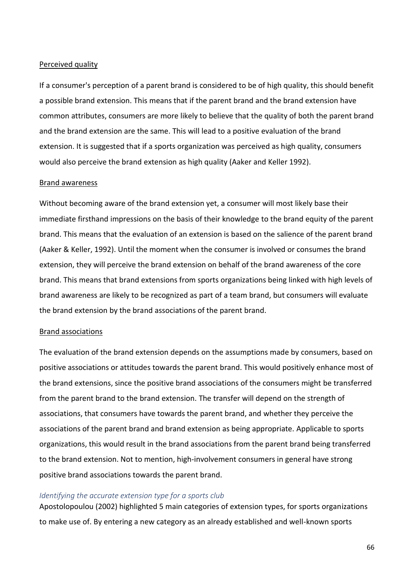### Perceived quality

If a consumer's perception of a parent brand is considered to be of high quality, this should benefit a possible brand extension. This means that if the parent brand and the brand extension have common attributes, consumers are more likely to believe that the quality of both the parent brand and the brand extension are the same. This will lead to a positive evaluation of the brand extension. It is suggested that if a sports organization was perceived as high quality, consumers would also perceive the brand extension as high quality (Aaker and Keller 1992).

## Brand awareness

Without becoming aware of the brand extension yet, a consumer will most likely base their immediate firsthand impressions on the basis of their knowledge to the brand equity of the parent brand. This means that the evaluation of an extension is based on the salience of the parent brand (Aaker & Keller, 1992). Until the moment when the consumer is involved or consumes the brand extension, they will perceive the brand extension on behalf of the brand awareness of the core brand. This means that brand extensions from sports organizations being linked with high levels of brand awareness are likely to be recognized as part of a team brand, but consumers will evaluate the brand extension by the brand associations of the parent brand.

### Brand associations

The evaluation of the brand extension depends on the assumptions made by consumers, based on positive associations or attitudes towards the parent brand. This would positively enhance most of the brand extensions, since the positive brand associations of the consumers might be transferred from the parent brand to the brand extension. The transfer will depend on the strength of associations, that consumers have towards the parent brand, and whether they perceive the associations of the parent brand and brand extension as being appropriate. Applicable to sports organizations, this would result in the brand associations from the parent brand being transferred to the brand extension. Not to mention, high-involvement consumers in general have strong positive brand associations towards the parent brand.

### *Identifying the accurate extension type for a sports club*

Apostolopoulou (2002) highlighted 5 main categories of extension types, for sports organizations to make use of. By entering a new category as an already established and well-known sports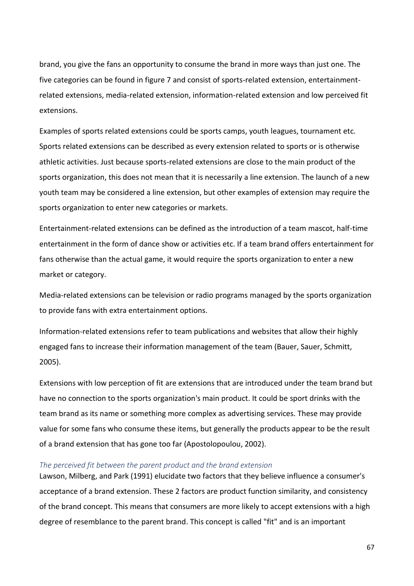brand, you give the fans an opportunity to consume the brand in more ways than just one. The five categories can be found in figure 7 and consist of sports-related extension, entertainmentrelated extensions, media-related extension, information-related extension and low perceived fit extensions.

Examples of sports related extensions could be sports camps, youth leagues, tournament etc. Sports related extensions can be described as every extension related to sports or is otherwise athletic activities. Just because sports-related extensions are close to the main product of the sports organization, this does not mean that it is necessarily a line extension. The launch of a new youth team may be considered a line extension, but other examples of extension may require the sports organization to enter new categories or markets.

Entertainment-related extensions can be defined as the introduction of a team mascot, half-time entertainment in the form of dance show or activities etc. If a team brand offers entertainment for fans otherwise than the actual game, it would require the sports organization to enter a new market or category.

Media-related extensions can be television or radio programs managed by the sports organization to provide fans with extra entertainment options.

Information-related extensions refer to team publications and websites that allow their highly engaged fans to increase their information management of the team (Bauer, Sauer, Schmitt, 2005).

Extensions with low perception of fit are extensions that are introduced under the team brand but have no connection to the sports organization's main product. It could be sport drinks with the team brand as its name or something more complex as advertising services. These may provide value for some fans who consume these items, but generally the products appear to be the result of a brand extension that has gone too far (Apostolopoulou, 2002).

#### *The perceived fit between the parent product and the brand extension*

Lawson, Milberg, and Park (1991) elucidate two factors that they believe influence a consumer's acceptance of a brand extension. These 2 factors are product function similarity, and consistency of the brand concept. This means that consumers are more likely to accept extensions with a high degree of resemblance to the parent brand. This concept is called "fit" and is an important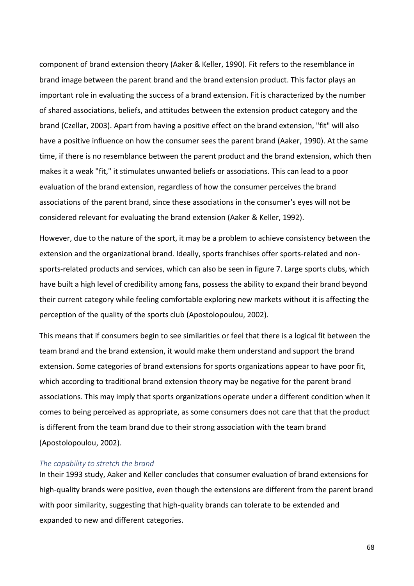component of brand extension theory (Aaker & Keller, 1990). Fit refers to the resemblance in brand image between the parent brand and the brand extension product. This factor plays an important role in evaluating the success of a brand extension. Fit is characterized by the number of shared associations, beliefs, and attitudes between the extension product category and the brand (Czellar, 2003). Apart from having a positive effect on the brand extension, "fit" will also have a positive influence on how the consumer sees the parent brand (Aaker, 1990). At the same time, if there is no resemblance between the parent product and the brand extension, which then makes it a weak "fit," it stimulates unwanted beliefs or associations. This can lead to a poor evaluation of the brand extension, regardless of how the consumer perceives the brand associations of the parent brand, since these associations in the consumer's eyes will not be considered relevant for evaluating the brand extension (Aaker & Keller, 1992).

However, due to the nature of the sport, it may be a problem to achieve consistency between the extension and the organizational brand. Ideally, sports franchises offer sports-related and nonsports-related products and services, which can also be seen in figure 7. Large sports clubs, which have built a high level of credibility among fans, possess the ability to expand their brand beyond their current category while feeling comfortable exploring new markets without it is affecting the perception of the quality of the sports club (Apostolopoulou, 2002).

This means that if consumers begin to see similarities or feel that there is a logical fit between the team brand and the brand extension, it would make them understand and support the brand extension. Some categories of brand extensions for sports organizations appear to have poor fit, which according to traditional brand extension theory may be negative for the parent brand associations. This may imply that sports organizations operate under a different condition when it comes to being perceived as appropriate, as some consumers does not care that that the product is different from the team brand due to their strong association with the team brand (Apostolopoulou, 2002).

## *The capability to stretch the brand*

In their 1993 study, Aaker and Keller concludes that consumer evaluation of brand extensions for high-quality brands were positive, even though the extensions are different from the parent brand with poor similarity, suggesting that high-quality brands can tolerate to be extended and expanded to new and different categories.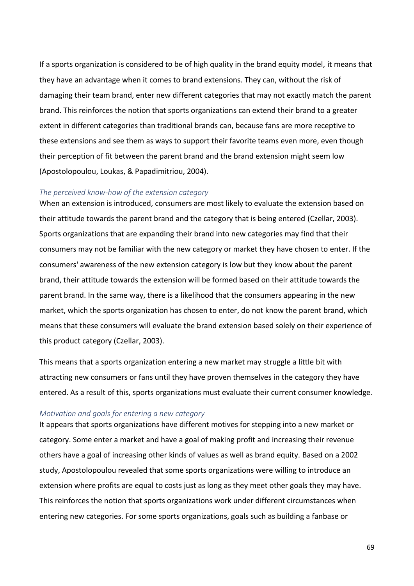If a sports organization is considered to be of high quality in the brand equity model, it means that they have an advantage when it comes to brand extensions. They can, without the risk of damaging their team brand, enter new different categories that may not exactly match the parent brand. This reinforces the notion that sports organizations can extend their brand to a greater extent in different categories than traditional brands can, because fans are more receptive to these extensions and see them as ways to support their favorite teams even more, even though their perception of fit between the parent brand and the brand extension might seem low (Apostolopoulou, Loukas, & Papadimitriou, 2004).

## *The perceived know-how of the extension category*

When an extension is introduced, consumers are most likely to evaluate the extension based on their attitude towards the parent brand and the category that is being entered (Czellar, 2003). Sports organizations that are expanding their brand into new categories may find that their consumers may not be familiar with the new category or market they have chosen to enter. If the consumers' awareness of the new extension category is low but they know about the parent brand, their attitude towards the extension will be formed based on their attitude towards the parent brand. In the same way, there is a likelihood that the consumers appearing in the new market, which the sports organization has chosen to enter, do not know the parent brand, which means that these consumers will evaluate the brand extension based solely on their experience of this product category (Czellar, 2003).

This means that a sports organization entering a new market may struggle a little bit with attracting new consumers or fans until they have proven themselves in the category they have entered. As a result of this, sports organizations must evaluate their current consumer knowledge.

### *Motivation and goals for entering a new category*

It appears that sports organizations have different motives for stepping into a new market or category. Some enter a market and have a goal of making profit and increasing their revenue others have a goal of increasing other kinds of values as well as brand equity. Based on a 2002 study, Apostolopoulou revealed that some sports organizations were willing to introduce an extension where profits are equal to costs just as long as they meet other goals they may have. This reinforces the notion that sports organizations work under different circumstances when entering new categories. For some sports organizations, goals such as building a fanbase or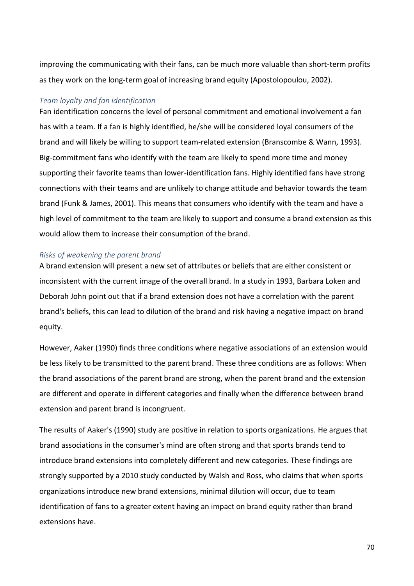improving the communicating with their fans, can be much more valuable than short-term profits as they work on the long-term goal of increasing brand equity (Apostolopoulou, 2002).

## *Team loyalty and fan Identification*

Fan identification concerns the level of personal commitment and emotional involvement a fan has with a team. If a fan is highly identified, he/she will be considered loyal consumers of the brand and will likely be willing to support team-related extension (Branscombe & Wann, 1993). Big-commitment fans who identify with the team are likely to spend more time and money supporting their favorite teams than lower-identification fans. Highly identified fans have strong connections with their teams and are unlikely to change attitude and behavior towards the team brand (Funk & James, 2001). This means that consumers who identify with the team and have a high level of commitment to the team are likely to support and consume a brand extension as this would allow them to increase their consumption of the brand.

## *Risks of weakening the parent brand*

A brand extension will present a new set of attributes or beliefs that are either consistent or inconsistent with the current image of the overall brand. In a study in 1993, Barbara Loken and Deborah John point out that if a brand extension does not have a correlation with the parent brand's beliefs, this can lead to dilution of the brand and risk having a negative impact on brand equity.

However, Aaker (1990) finds three conditions where negative associations of an extension would be less likely to be transmitted to the parent brand. These three conditions are as follows: When the brand associations of the parent brand are strong, when the parent brand and the extension are different and operate in different categories and finally when the difference between brand extension and parent brand is incongruent.

The results of Aaker's (1990) study are positive in relation to sports organizations. He argues that brand associations in the consumer's mind are often strong and that sports brands tend to introduce brand extensions into completely different and new categories. These findings are strongly supported by a 2010 study conducted by Walsh and Ross, who claims that when sports organizations introduce new brand extensions, minimal dilution will occur, due to team identification of fans to a greater extent having an impact on brand equity rather than brand extensions have.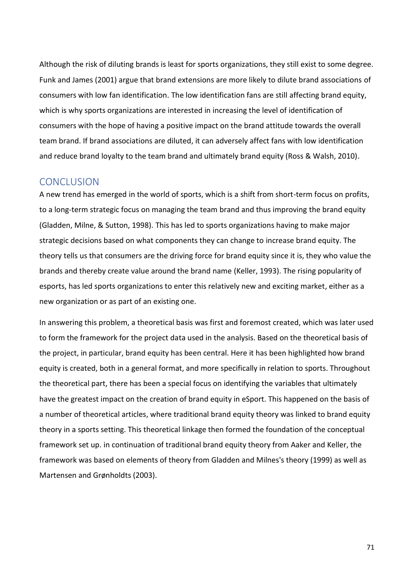Although the risk of diluting brands is least for sports organizations, they still exist to some degree. Funk and James (2001) argue that brand extensions are more likely to dilute brand associations of consumers with low fan identification. The low identification fans are still affecting brand equity, which is why sports organizations are interested in increasing the level of identification of consumers with the hope of having a positive impact on the brand attitude towards the overall team brand. If brand associations are diluted, it can adversely affect fans with low identification and reduce brand loyalty to the team brand and ultimately brand equity (Ross & Walsh, 2010).

# CONCLUSION

A new trend has emerged in the world of sports, which is a shift from short-term focus on profits, to a long-term strategic focus on managing the team brand and thus improving the brand equity (Gladden, Milne, & Sutton, 1998). This has led to sports organizations having to make major strategic decisions based on what components they can change to increase brand equity. The theory tells us that consumers are the driving force for brand equity since it is, they who value the brands and thereby create value around the brand name (Keller, 1993). The rising popularity of esports, has led sports organizations to enter this relatively new and exciting market, either as a new organization or as part of an existing one.

In answering this problem, a theoretical basis was first and foremost created, which was later used to form the framework for the project data used in the analysis. Based on the theoretical basis of the project, in particular, brand equity has been central. Here it has been highlighted how brand equity is created, both in a general format, and more specifically in relation to sports. Throughout the theoretical part, there has been a special focus on identifying the variables that ultimately have the greatest impact on the creation of brand equity in eSport. This happened on the basis of a number of theoretical articles, where traditional brand equity theory was linked to brand equity theory in a sports setting. This theoretical linkage then formed the foundation of the conceptual framework set up. in continuation of traditional brand equity theory from Aaker and Keller, the framework was based on elements of theory from Gladden and Milnes's theory (1999) as well as Martensen and Grønholdts (2003).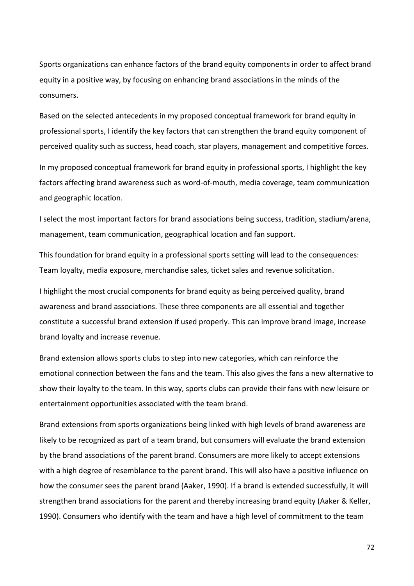Sports organizations can enhance factors of the brand equity components in order to affect brand equity in a positive way, by focusing on enhancing brand associations in the minds of the consumers.

Based on the selected antecedents in my proposed conceptual framework for brand equity in professional sports, I identify the key factors that can strengthen the brand equity component of perceived quality such as success, head coach, star players, management and competitive forces.

In my proposed conceptual framework for brand equity in professional sports, I highlight the key factors affecting brand awareness such as word-of-mouth, media coverage, team communication and geographic location.

I select the most important factors for brand associations being success, tradition, stadium/arena, management, team communication, geographical location and fan support.

This foundation for brand equity in a professional sports setting will lead to the consequences: Team loyalty, media exposure, merchandise sales, ticket sales and revenue solicitation.

I highlight the most crucial components for brand equity as being perceived quality, brand awareness and brand associations. These three components are all essential and together constitute a successful brand extension if used properly. This can improve brand image, increase brand loyalty and increase revenue.

Brand extension allows sports clubs to step into new categories, which can reinforce the emotional connection between the fans and the team. This also gives the fans a new alternative to show their loyalty to the team. In this way, sports clubs can provide their fans with new leisure or entertainment opportunities associated with the team brand.

Brand extensions from sports organizations being linked with high levels of brand awareness are likely to be recognized as part of a team brand, but consumers will evaluate the brand extension by the brand associations of the parent brand. Consumers are more likely to accept extensions with a high degree of resemblance to the parent brand. This will also have a positive influence on how the consumer sees the parent brand (Aaker, 1990). If a brand is extended successfully, it will strengthen brand associations for the parent and thereby increasing brand equity (Aaker & Keller, 1990). Consumers who identify with the team and have a high level of commitment to the team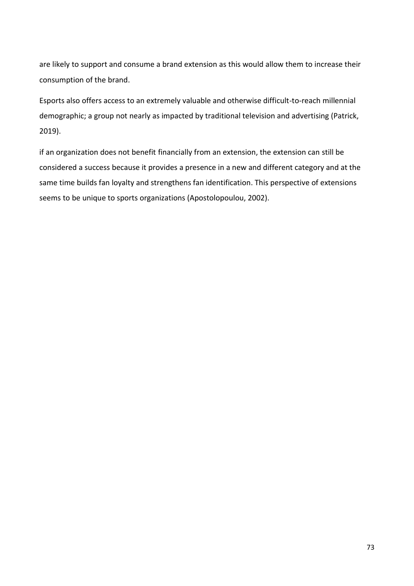are likely to support and consume a brand extension as this would allow them to increase their consumption of the brand.

Esports also offers access to an extremely valuable and otherwise difficult-to-reach millennial demographic; a group not nearly as impacted by traditional television and advertising (Patrick, 2019).

if an organization does not benefit financially from an extension, the extension can still be considered a success because it provides a presence in a new and different category and at the same time builds fan loyalty and strengthens fan identification. This perspective of extensions seems to be unique to sports organizations (Apostolopoulou, 2002).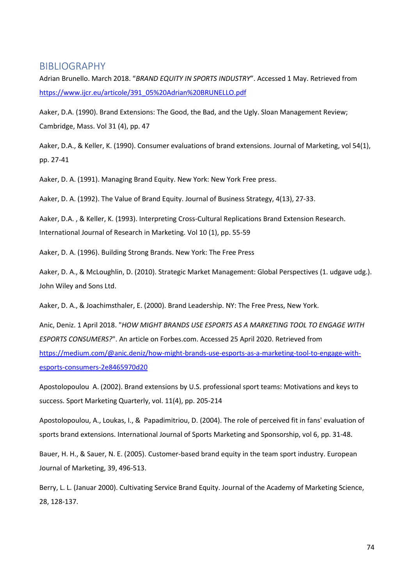## BIBLIOGRAPHY

Adrian Brunello. March 2018. "*BRAND EQUITY IN SPORTS INDUSTRY*". Accessed 1 May. Retrieved from [https://www.ijcr.eu/articole/391\\_05%20Adrian%20BRUNELLO.pdf](https://www.ijcr.eu/articole/391_05%20Adrian%20BRUNELLO.pdf)

Aaker, D.A. (1990). Brand Extensions: The Good, the Bad, and the Ugly. Sloan Management Review; Cambridge, Mass. Vol 31 (4), pp. 47

Aaker, D.A., & Keller, K. (1990). Consumer evaluations of brand extensions. Journal of Marketing, vol 54(1), pp. 27-41

Aaker, D. A. (1991). Managing Brand Equity. New York: New York Free press.

Aaker, D. A. (1992). The Value of Brand Equity. Journal of Business Strategy, 4(13), 27-33.

Aaker, D.A. , & Keller, K. (1993). Interpreting Cross-Cultural Replications Brand Extension Research. International Journal of Research in Marketing. Vol 10 (1), pp. 55-59

Aaker, D. A. (1996). Building Strong Brands. New York: The Free Press

Aaker, D. A., & McLoughlin, D. (2010). Strategic Market Management: Global Perspectives (1. udgave udg.). John Wiley and Sons Ltd.

Aaker, D. A., & Joachimsthaler, E. (2000). Brand Leadership. NY: The Free Press, New York.

Anic, Deniz. 1 April 2018. "*HOW MIGHT BRANDS USE ESPORTS AS A MARKETING TOOL TO ENGAGE WITH ESPORTS CONSUMERS?*". An article on Forbes.com. Accessed 25 April 2020. Retrieved from [https://medium.com/@anic.deniz/how-might-brands-use-esports-as-a-marketing-tool-to-engage-with](https://medium.com/@anic.deniz/how-might-brands-use-esports-as-a-marketing-tool-to-engage-with-esports-consumers-2e8465970d20)[esports-consumers-2e8465970d20](https://medium.com/@anic.deniz/how-might-brands-use-esports-as-a-marketing-tool-to-engage-with-esports-consumers-2e8465970d20)

Apostolopoulou A. (2002). Brand extensions by U.S. professional sport teams: Motivations and keys to success. Sport Marketing Quarterly, vol. 11(4), pp. 205-214

Apostolopoulou, A., Loukas, I., & Papadimitriou, D. (2004). The role of perceived fit in fans' evaluation of sports brand extensions. International Journal of Sports Marketing and Sponsorship, vol 6, pp. 31-48.

Bauer, H. H., & Sauer, N. E. (2005). Customer-based brand equity in the team sport industry. European Journal of Marketing, 39, 496-513.

Berry, L. L. (Januar 2000). Cultivating Service Brand Equity. Journal of the Academy of Marketing Science, 28, 128-137.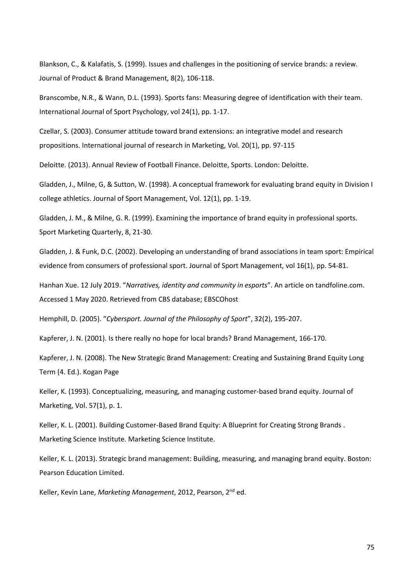Blankson, C., & Kalafatis, S. (1999). Issues and challenges in the positioning of service brands: a review. Journal of Product & Brand Management, 8(2), 106-118.

Branscombe, N.R., & Wann, D.L. (1993). Sports fans: Measuring degree of identification with their team. International Journal of Sport Psychology, vol 24(1), pp. 1-17.

Czellar, S. (2003). Consumer attitude toward brand extensions: an integrative model and research propositions. International journal of research in Marketing, Vol. 20(1), pp. 97-115

Deloitte. (2013). Annual Review of Football Finance. Deloitte, Sports. London: Deloitte.

Gladden, J., Milne, G, & Sutton, W. (1998). A conceptual framework for evaluating brand equity in Division I college athletics. Journal of Sport Management, Vol. 12(1), pp. 1-19.

Gladden, J. M., & Milne, G. R. (1999). Examining the importance of brand equity in professional sports. Sport Marketing Quarterly, 8, 21-30.

Gladden, J. & Funk, D.C. (2002). Developing an understanding of brand associations in team sport: Empirical evidence from consumers of professional sport. Journal of Sport Management, vol 16(1), pp. 54-81.

Hanhan Xue. 12 July 2019. "*Narratives, identity and community in esports*". An article on tandfoline.com. Accessed 1 May 2020. Retrieved from CBS database; EBSCOhost

Hemphill, D. (2005). "*Cybersport. Journal of the Philosophy of Sport*", 32(2), 195-207.

Kapferer, J. N. (2001). Is there really no hope for local brands? Brand Management, 166-170.

Kapferer, J. N. (2008). The New Strategic Brand Management: Creating and Sustaining Brand Equity Long Term (4. Ed.). Kogan Page

Keller, K. (1993). Conceptualizing, measuring, and managing customer-based brand equity. Journal of Marketing, Vol. 57(1), p. 1.

Keller, K. L. (2001). Building Customer-Based Brand Equity: A Blueprint for Creating Strong Brands . Marketing Science Institute. Marketing Science Institute.

Keller, K. L. (2013). Strategic brand management: Building, measuring, and managing brand equity. Boston: Pearson Education Limited.

Keller, Kevin Lane, *Marketing Management*, 2012, Pearson, 2nd ed.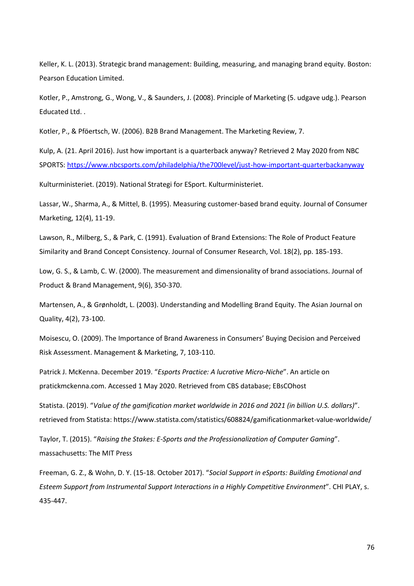Keller, K. L. (2013). Strategic brand management: Building, measuring, and managing brand equity. Boston: Pearson Education Limited.

Kotler, P., Amstrong, G., Wong, V., & Saunders, J. (2008). Principle of Marketing (5. udgave udg.). Pearson Educated Ltd. .

Kotler, P., & Pföertsch, W. (2006). B2B Brand Management. The Marketing Review, 7.

Kulp, A. (21. April 2016). Just how important is a quarterback anyway? Retrieved 2 May 2020 from NBC SPORTS[: https://www.nbcsports.com/philadelphia/the700level/just-how-important-quarterbackanyway](https://www.nbcsports.com/philadelphia/the700level/just-how-important-quarterbackanyway)

Kulturministeriet. (2019). National Strategi for ESport. Kulturministeriet.

Lassar, W., Sharma, A., & Mittel, B. (1995). Measuring customer-based brand equity. Journal of Consumer Marketing, 12(4), 11-19.

Lawson, R., Milberg, S., & Park, C. (1991). Evaluation of Brand Extensions: The Role of Product Feature Similarity and Brand Concept Consistency. Journal of Consumer Research, Vol. 18(2), pp. 185-193.

Low, G. S., & Lamb, C. W. (2000). The measurement and dimensionality of brand associations. Journal of Product & Brand Management, 9(6), 350-370.

Martensen, A., & Grønholdt, L. (2003). Understanding and Modelling Brand Equity. The Asian Journal on Quality, 4(2), 73-100.

Moisescu, O. (2009). The Importance of Brand Awareness in Consumers' Buying Decision and Perceived Risk Assessment. Management & Marketing, 7, 103-110.

Patrick J. McKenna. December 2019. "*Esports Practice: A lucrative Micro-Niche*". An article on pratickmckenna.com. Accessed 1 May 2020. Retrieved from CBS database; EBsCOhost

Statista. (2019). "*Value of the gamification market worldwide in 2016 and 2021 (in billion U.S. dollars)*". retrieved from Statista: https://www.statista.com/statistics/608824/gamificationmarket-value-worldwide/

Taylor, T. (2015). "*Raising the Stakes: E-Sports and the Professionalization of Computer Gaming*". massachusetts: The MIT Press

Freeman, G. Z., & Wohn, D. Y. (15-18. October 2017). "*Social Support in eSports: Building Emotional and Esteem Support from Instrumental Support Interactions in a Highly Competitive Environment*". CHI PLAY, s. 435-447.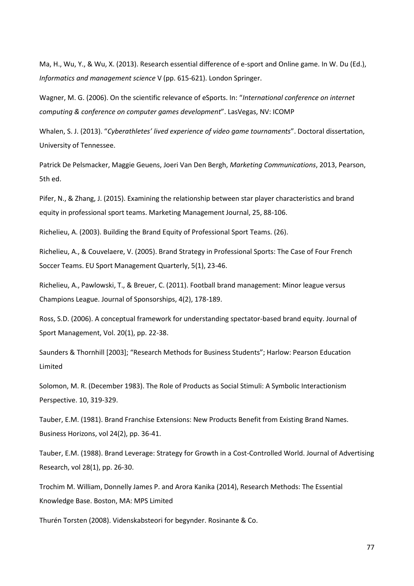Ma, H., Wu, Y., & Wu, X. (2013). Research essential difference of e-sport and Online game. In W. Du (Ed.), *Informatics and management science* V (pp. 615-621). London Springer.

Wagner, M. G. (2006). On the scientific relevance of eSports. In: "*International conference on internet computing & conference on computer games development*". LasVegas, NV: ICOMP

Whalen, S. J. (2013). "*Cyberathletes' lived experience of video game tournaments*". Doctoral dissertation, University of Tennessee.

Patrick De Pelsmacker, Maggie Geuens, Joeri Van Den Bergh, *Marketing Communications*, 2013, Pearson, 5th ed.

Pifer, N., & Zhang, J. (2015). Examining the relationship between star player characteristics and brand equity in professional sport teams. Marketing Management Journal, 25, 88-106.

Richelieu, A. (2003). Building the Brand Equity of Professional Sport Teams. (26).

Richelieu, A., & Couvelaere, V. (2005). Brand Strategy in Professional Sports: The Case of Four French Soccer Teams. EU Sport Management Quarterly, 5(1), 23-46.

Richelieu, A., Pawlowski, T., & Breuer, C. (2011). Football brand management: Minor league versus Champions League. Journal of Sponsorships, 4(2), 178-189.

Ross, S.D. (2006). A conceptual framework for understanding spectator-based brand equity. Journal of Sport Management, Vol. 20(1), pp. 22-38.

Saunders & Thornhill [2003]; "Research Methods for Business Students"; Harlow: Pearson Education Limited

Solomon, M. R. (December 1983). The Role of Products as Social Stimuli: A Symbolic Interactionism Perspective. 10, 319-329.

Tauber, E.M. (1981). Brand Franchise Extensions: New Products Benefit from Existing Brand Names. Business Horizons, vol 24(2), pp. 36-41.

Tauber, E.M. (1988). Brand Leverage: Strategy for Growth in a Cost-Controlled World. Journal of Advertising Research, vol 28(1), pp. 26-30.

Trochim M. William, Donnelly James P. and Arora Kanika (2014), Research Methods: The Essential Knowledge Base. Boston, MA: MPS Limited

Thurén Torsten (2008). Videnskabsteori for begynder. Rosinante & Co.